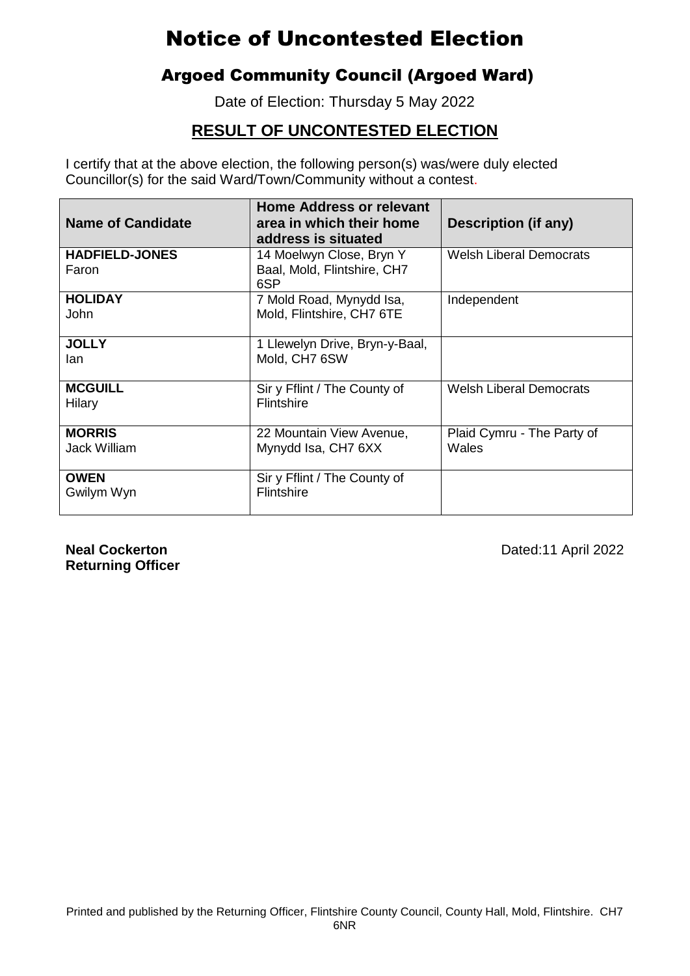## Argoed Community Council (Argoed Ward)

Date of Election: Thursday 5 May 2022

### **RESULT OF UNCONTESTED ELECTION**

I certify that at the above election, the following person(s) was/were duly elected Councillor(s) for the said Ward/Town/Community without a contest.

| <b>Name of Candidate</b>       | <b>Home Address or relevant</b><br>area in which their home<br>address is situated | <b>Description (if any)</b>         |
|--------------------------------|------------------------------------------------------------------------------------|-------------------------------------|
| <b>HADFIELD-JONES</b><br>Faron | 14 Moelwyn Close, Bryn Y<br>Baal, Mold, Flintshire, CH7<br>6SP                     | <b>Welsh Liberal Democrats</b>      |
| <b>HOLIDAY</b><br><b>John</b>  | 7 Mold Road, Mynydd Isa,<br>Mold, Flintshire, CH7 6TE                              | Independent                         |
| <b>JOLLY</b><br>lan            | 1 Llewelyn Drive, Bryn-y-Baal,<br>Mold, CH7 6SW                                    |                                     |
| <b>MCGUILL</b><br>Hilary       | Sir y Fflint / The County of<br><b>Flintshire</b>                                  | <b>Welsh Liberal Democrats</b>      |
| <b>MORRIS</b><br>Jack William  | 22 Mountain View Avenue,<br>Mynydd Isa, CH7 6XX                                    | Plaid Cymru - The Party of<br>Wales |
| <b>OWEN</b><br>Gwilym Wyn      | Sir y Fflint / The County of<br>Flintshire                                         |                                     |

**Returning Officer**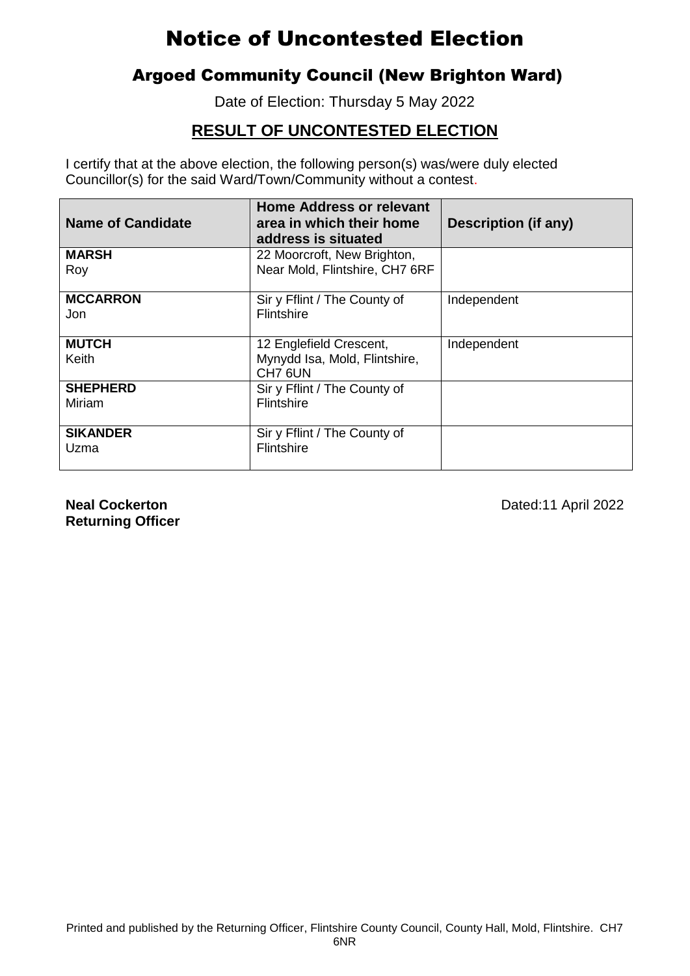### Argoed Community Council (New Brighton Ward)

Date of Election: Thursday 5 May 2022

### **RESULT OF UNCONTESTED ELECTION**

I certify that at the above election, the following person(s) was/were duly elected Councillor(s) for the said Ward/Town/Community without a contest.

| <b>Name of Candidate</b> | <b>Home Address or relevant</b><br>area in which their home<br>address is situated | <b>Description (if any)</b> |
|--------------------------|------------------------------------------------------------------------------------|-----------------------------|
| <b>MARSH</b>             | 22 Moorcroft, New Brighton,                                                        |                             |
| Roy                      | Near Mold, Flintshire, CH7 6RF                                                     |                             |
| <b>MCCARRON</b>          | Sir y Fflint / The County of                                                       | Independent                 |
| Jon                      | <b>Flintshire</b>                                                                  |                             |
| <b>MUTCH</b>             | 12 Englefield Crescent,                                                            | Independent                 |
| Keith                    | Mynydd Isa, Mold, Flintshire,<br>CH7 6UN                                           |                             |
| <b>SHEPHERD</b>          | Sir y Fflint / The County of                                                       |                             |
| Miriam                   | <b>Flintshire</b>                                                                  |                             |
| <b>SIKANDER</b>          | Sir y Fflint / The County of                                                       |                             |
| Uzma                     | Flintshire                                                                         |                             |

**Returning Officer**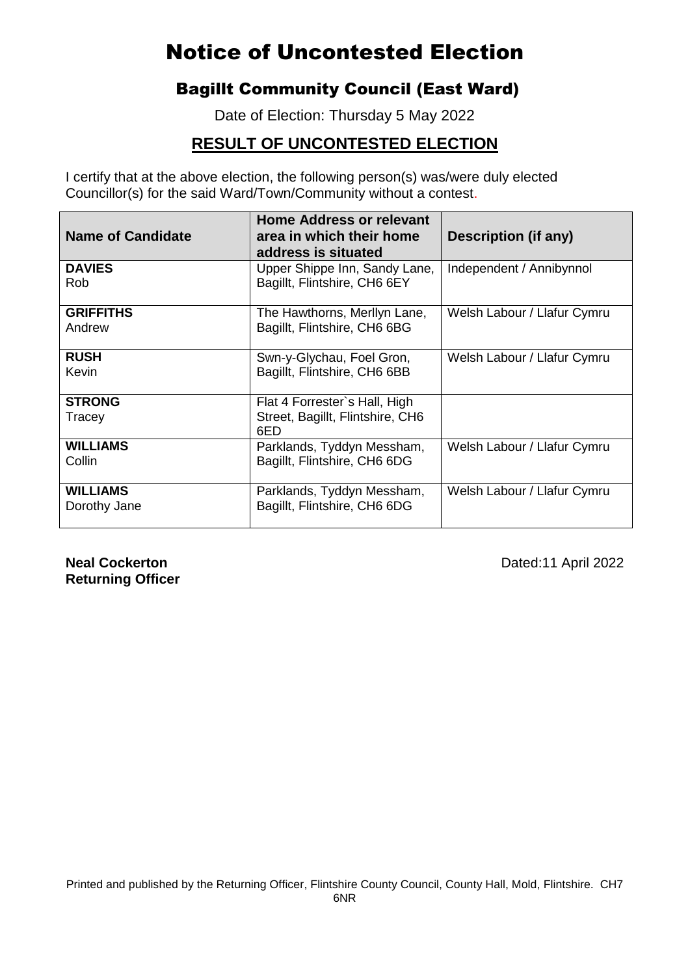### Bagillt Community Council (East Ward)

Date of Election: Thursday 5 May 2022

#### **RESULT OF UNCONTESTED ELECTION**

I certify that at the above election, the following person(s) was/were duly elected Councillor(s) for the said Ward/Town/Community without a contest.

| <b>Name of Candidate</b>        | <b>Home Address or relevant</b><br>area in which their home<br>address is situated | Description (if any)        |
|---------------------------------|------------------------------------------------------------------------------------|-----------------------------|
| <b>DAVIES</b><br>Rob            | Upper Shippe Inn, Sandy Lane,<br>Bagillt, Flintshire, CH6 6EY                      | Independent / Annibynnol    |
| <b>GRIFFITHS</b><br>Andrew      | The Hawthorns, Merllyn Lane,<br>Bagillt, Flintshire, CH6 6BG                       | Welsh Labour / Llafur Cymru |
| <b>RUSH</b><br>Kevin            | Swn-y-Glychau, Foel Gron,<br>Bagillt, Flintshire, CH6 6BB                          | Welsh Labour / Llafur Cymru |
| <b>STRONG</b><br>Tracey         | Flat 4 Forrester's Hall, High<br>Street, Bagillt, Flintshire, CH6<br>6ED           |                             |
| <b>WILLIAMS</b><br>Collin       | Parklands, Tyddyn Messham,<br>Bagillt, Flintshire, CH6 6DG                         | Welsh Labour / Llafur Cymru |
| <b>WILLIAMS</b><br>Dorothy Jane | Parklands, Tyddyn Messham,<br>Bagillt, Flintshire, CH6 6DG                         | Welsh Labour / Llafur Cymru |

**Returning Officer**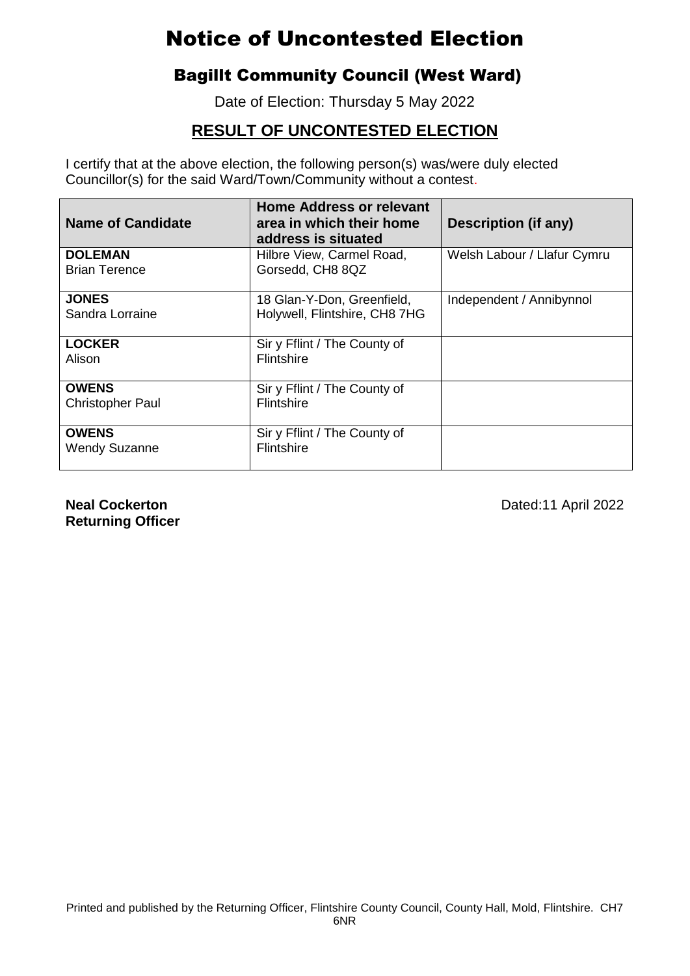## Bagillt Community Council (West Ward)

Date of Election: Thursday 5 May 2022

## **RESULT OF UNCONTESTED ELECTION**

I certify that at the above election, the following person(s) was/were duly elected Councillor(s) for the said Ward/Town/Community without a contest.

| <b>Name of Candidate</b> | <b>Home Address or relevant</b><br>area in which their home<br>address is situated | <b>Description (if any)</b> |
|--------------------------|------------------------------------------------------------------------------------|-----------------------------|
| <b>DOLEMAN</b>           | Hilbre View, Carmel Road,                                                          | Welsh Labour / Llafur Cymru |
| <b>Brian Terence</b>     | Gorsedd, CH8 8QZ                                                                   |                             |
| <b>JONES</b>             | 18 Glan-Y-Don, Greenfield,                                                         | Independent / Annibynnol    |
| Sandra Lorraine          | Holywell, Flintshire, CH8 7HG                                                      |                             |
| <b>LOCKER</b>            | Sir y Fflint / The County of                                                       |                             |
| Alison                   | <b>Flintshire</b>                                                                  |                             |
| <b>OWENS</b>             | Sir y Fflint / The County of                                                       |                             |
| <b>Christopher Paul</b>  | <b>Flintshire</b>                                                                  |                             |
| <b>OWENS</b>             | Sir y Fflint / The County of                                                       |                             |
| <b>Wendy Suzanne</b>     | Flintshire                                                                         |                             |

**Returning Officer**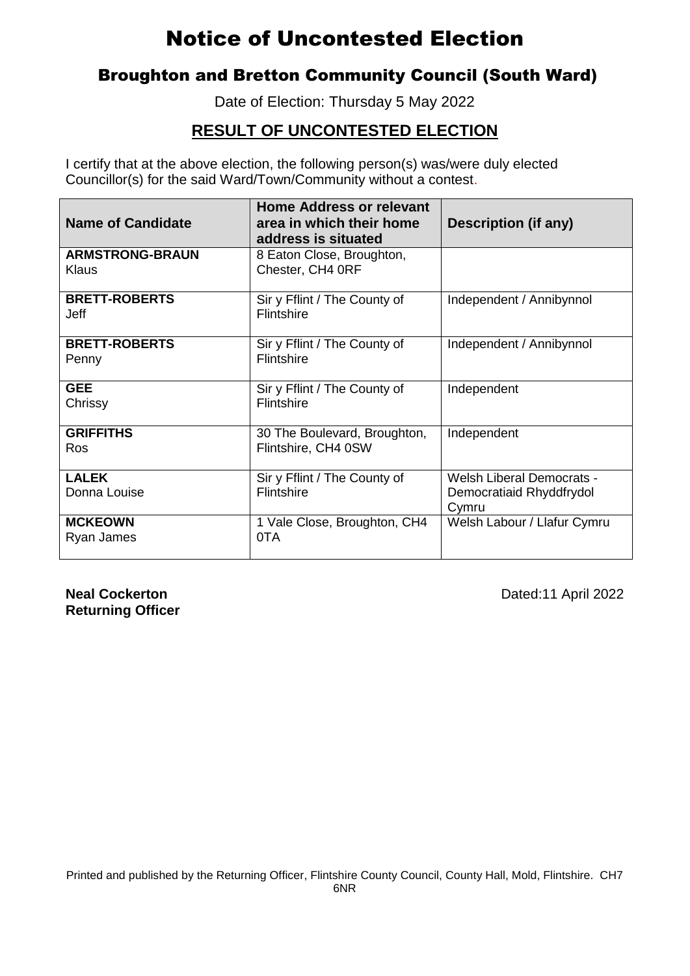#### Broughton and Bretton Community Council (South Ward)

Date of Election: Thursday 5 May 2022

### **RESULT OF UNCONTESTED ELECTION**

I certify that at the above election, the following person(s) was/were duly elected Councillor(s) for the said Ward/Town/Community without a contest.

| <b>Name of Candidate</b>        | <b>Home Address or relevant</b><br>area in which their home<br>address is situated | Description (if any)                                                  |
|---------------------------------|------------------------------------------------------------------------------------|-----------------------------------------------------------------------|
| <b>ARMSTRONG-BRAUN</b><br>Klaus | 8 Eaton Close, Broughton,<br>Chester, CH4 ORF                                      |                                                                       |
| <b>BRETT-ROBERTS</b><br>Jeff    | Sir y Fflint / The County of<br><b>Flintshire</b>                                  | Independent / Annibynnol                                              |
| <b>BRETT-ROBERTS</b><br>Penny   | Sir y Fflint / The County of<br>Flintshire                                         | Independent / Annibynnol                                              |
| <b>GEE</b><br>Chrissy           | Sir y Fflint / The County of<br>Flintshire                                         | Independent                                                           |
| <b>GRIFFITHS</b><br>Ros         | 30 The Boulevard, Broughton,<br>Flintshire, CH4 0SW                                | Independent                                                           |
| <b>LALEK</b><br>Donna Louise    | Sir y Fflint / The County of<br>Flintshire                                         | <b>Welsh Liberal Democrats -</b><br>Democratiaid Rhyddfrydol<br>Cymru |
| <b>MCKEOWN</b><br>Ryan James    | 1 Vale Close, Broughton, CH4<br>0TA                                                | Welsh Labour / Llafur Cymru                                           |

**Returning Officer**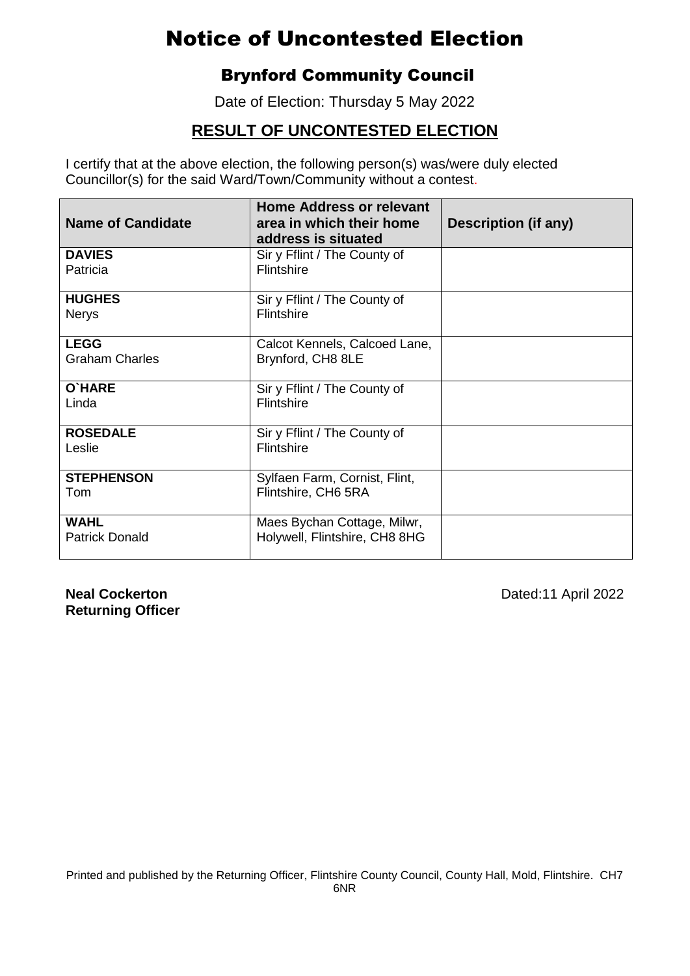### Brynford Community Council

Date of Election: Thursday 5 May 2022

### **RESULT OF UNCONTESTED ELECTION**

I certify that at the above election, the following person(s) was/were duly elected Councillor(s) for the said Ward/Town/Community without a contest.

| <b>Name of Candidate</b>             | <b>Home Address or relevant</b><br>area in which their home<br>address is situated | Description (if any) |
|--------------------------------------|------------------------------------------------------------------------------------|----------------------|
| <b>DAVIES</b><br>Patricia            | Sir y Fflint / The County of<br><b>Flintshire</b>                                  |                      |
| <b>HUGHES</b><br><b>Nerys</b>        | Sir y Fflint / The County of<br>Flintshire                                         |                      |
| <b>LEGG</b><br><b>Graham Charles</b> | Calcot Kennels, Calcoed Lane,<br>Brynford, CH8 8LE                                 |                      |
| O'HARE<br>Linda                      | Sir y Fflint / The County of<br>Flintshire                                         |                      |
| <b>ROSEDALE</b><br>Leslie            | Sir y Fflint / The County of<br>Flintshire                                         |                      |
| <b>STEPHENSON</b><br>Tom             | Sylfaen Farm, Cornist, Flint,<br>Flintshire, CH6 5RA                               |                      |
| <b>WAHL</b><br><b>Patrick Donald</b> | Maes Bychan Cottage, Milwr,<br>Holywell, Flintshire, CH8 8HG                       |                      |

**Returning Officer**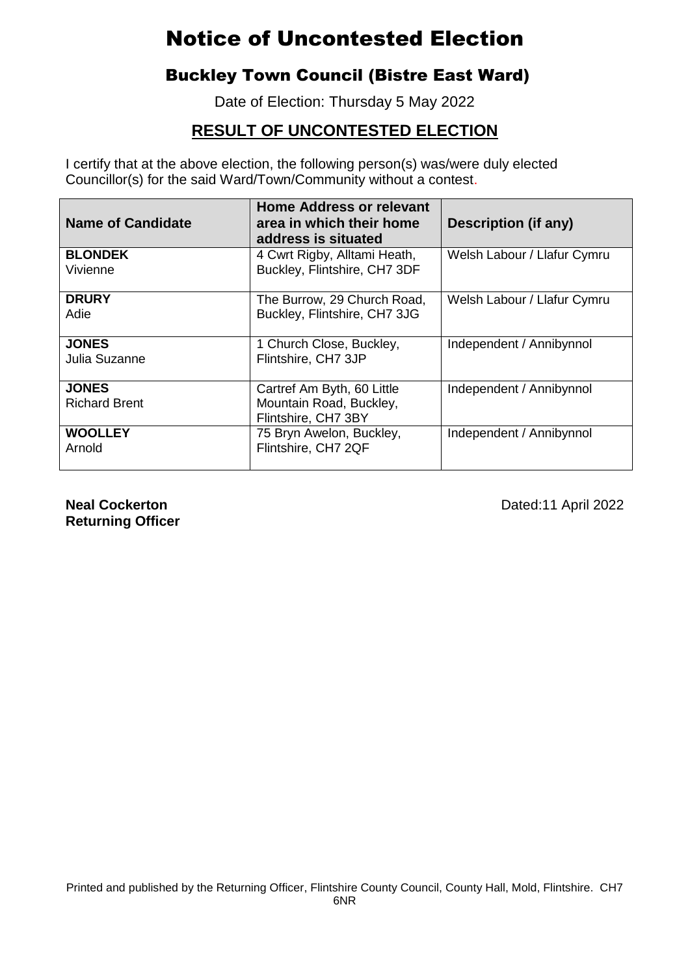## Buckley Town Council (Bistre East Ward)

Date of Election: Thursday 5 May 2022

### **RESULT OF UNCONTESTED ELECTION**

I certify that at the above election, the following person(s) was/were duly elected Councillor(s) for the said Ward/Town/Community without a contest.

| <b>Name of Candidate</b> | <b>Home Address or relevant</b><br>area in which their home<br>address is situated | Description (if any)        |
|--------------------------|------------------------------------------------------------------------------------|-----------------------------|
| <b>BLONDEK</b>           | 4 Cwrt Rigby, Alltami Heath,                                                       | Welsh Labour / Llafur Cymru |
| Vivienne                 | Buckley, Flintshire, CH7 3DF                                                       |                             |
| <b>DRURY</b>             | The Burrow, 29 Church Road,                                                        | Welsh Labour / Llafur Cymru |
| Adie                     | Buckley, Flintshire, CH7 3JG                                                       |                             |
| <b>JONES</b>             | 1 Church Close, Buckley,                                                           | Independent / Annibynnol    |
| Julia Suzanne            | Flintshire, CH7 3JP                                                                |                             |
| <b>JONES</b>             | Cartref Am Byth, 60 Little                                                         | Independent / Annibynnol    |
| <b>Richard Brent</b>     | Mountain Road, Buckley,                                                            |                             |
|                          | Flintshire, CH7 3BY                                                                |                             |
| <b>WOOLLEY</b>           | 75 Bryn Awelon, Buckley,                                                           | Independent / Annibynnol    |
| Arnold                   | Flintshire, CH7 2QF                                                                |                             |

**Returning Officer**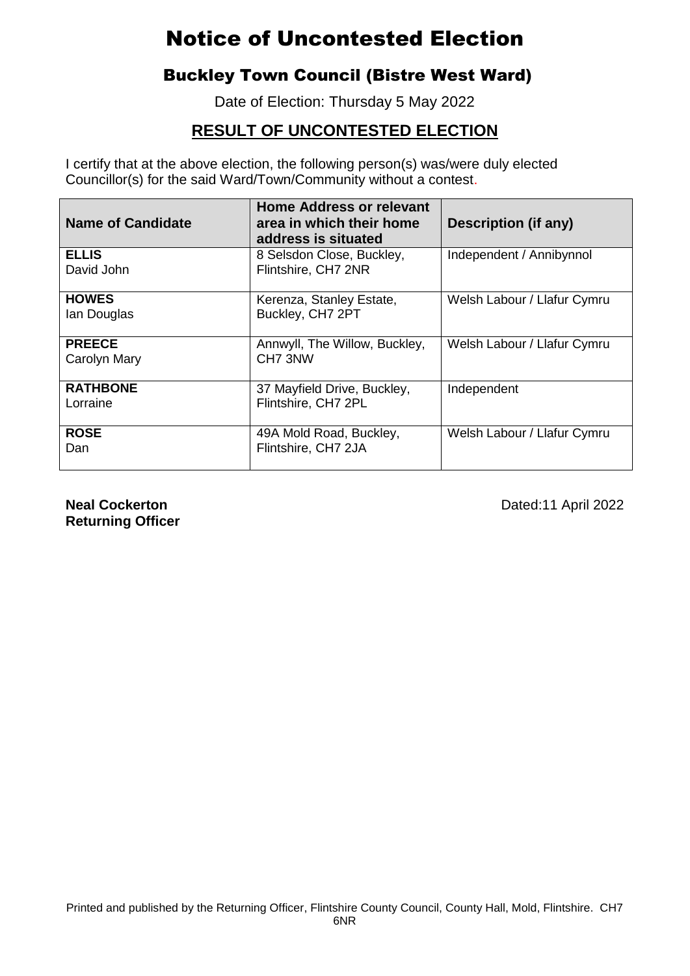### Buckley Town Council (Bistre West Ward)

Date of Election: Thursday 5 May 2022

### **RESULT OF UNCONTESTED ELECTION**

I certify that at the above election, the following person(s) was/were duly elected Councillor(s) for the said Ward/Town/Community without a contest.

| <b>Name of Candidate</b>      | Home Address or relevant<br>area in which their home<br>address is situated | Description (if any)        |
|-------------------------------|-----------------------------------------------------------------------------|-----------------------------|
| <b>ELLIS</b><br>David John    | 8 Selsdon Close, Buckley,<br>Flintshire, CH7 2NR                            | Independent / Annibynnol    |
| <b>HOWES</b><br>Ian Douglas   | Kerenza, Stanley Estate,<br>Buckley, CH7 2PT                                | Welsh Labour / Llafur Cymru |
| <b>PREECE</b><br>Carolyn Mary | Annwyll, The Willow, Buckley,<br>CH <sub>7</sub> 3NW                        | Welsh Labour / Llafur Cymru |
| <b>RATHBONE</b><br>Lorraine   | 37 Mayfield Drive, Buckley,<br>Flintshire, CH7 2PL                          | Independent                 |
| <b>ROSE</b><br>Dan            | 49A Mold Road, Buckley,<br>Flintshire, CH7 2JA                              | Welsh Labour / Llafur Cymru |

**Returning Officer**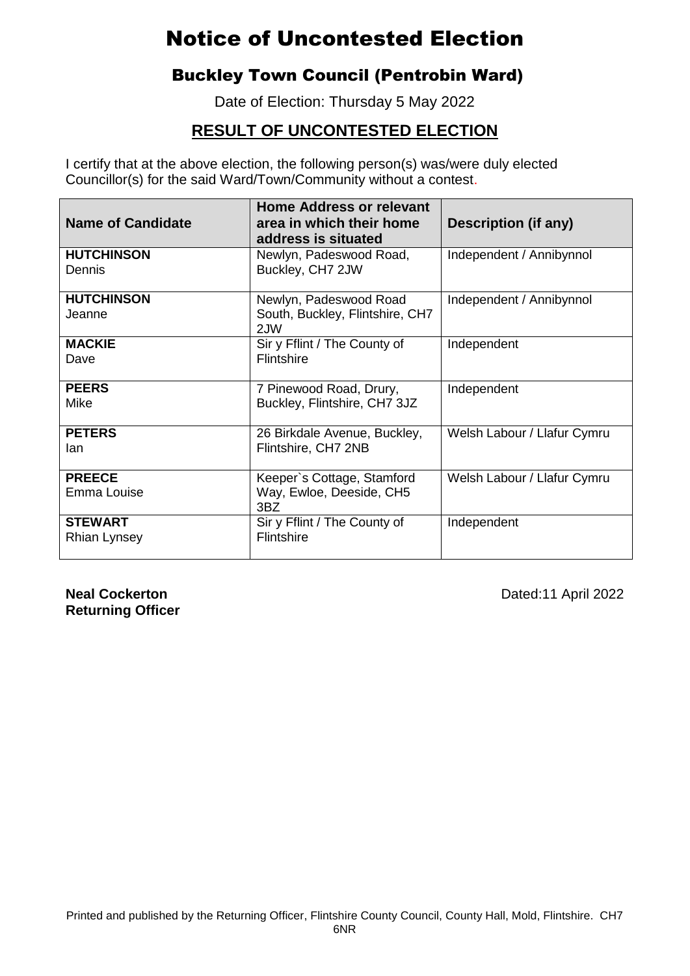### Buckley Town Council (Pentrobin Ward)

Date of Election: Thursday 5 May 2022

### **RESULT OF UNCONTESTED ELECTION**

Councillor(s) for the said Ward/Town/Community without a contest. I certify that at the above election, the following person(s) was/were duly elected

| <b>Name of Candidate</b>              | <b>Home Address or relevant</b><br>area in which their home<br>address is situated | Description (if any)        |
|---------------------------------------|------------------------------------------------------------------------------------|-----------------------------|
| <b>HUTCHINSON</b><br>Dennis           | Newlyn, Padeswood Road,<br>Buckley, CH7 2JW                                        | Independent / Annibynnol    |
| <b>HUTCHINSON</b><br>Jeanne           | Newlyn, Padeswood Road<br>South, Buckley, Flintshire, CH7<br>2JW                   | Independent / Annibynnol    |
| <b>MACKIE</b><br>Dave                 | Sir y Fflint / The County of<br>Flintshire                                         | Independent                 |
| <b>PEERS</b><br>Mike                  | 7 Pinewood Road, Drury,<br>Buckley, Flintshire, CH7 3JZ                            | Independent                 |
| <b>PETERS</b><br>lan                  | 26 Birkdale Avenue, Buckley,<br>Flintshire, CH7 2NB                                | Welsh Labour / Llafur Cymru |
| <b>PREECE</b><br>Emma Louise          | Keeper's Cottage, Stamford<br>Way, Ewloe, Deeside, CH5<br>3BZ                      | Welsh Labour / Llafur Cymru |
| <b>STEWART</b><br><b>Rhian Lynsey</b> | Sir y Fflint / The County of<br>Flintshire                                         | Independent                 |

**Returning Officer**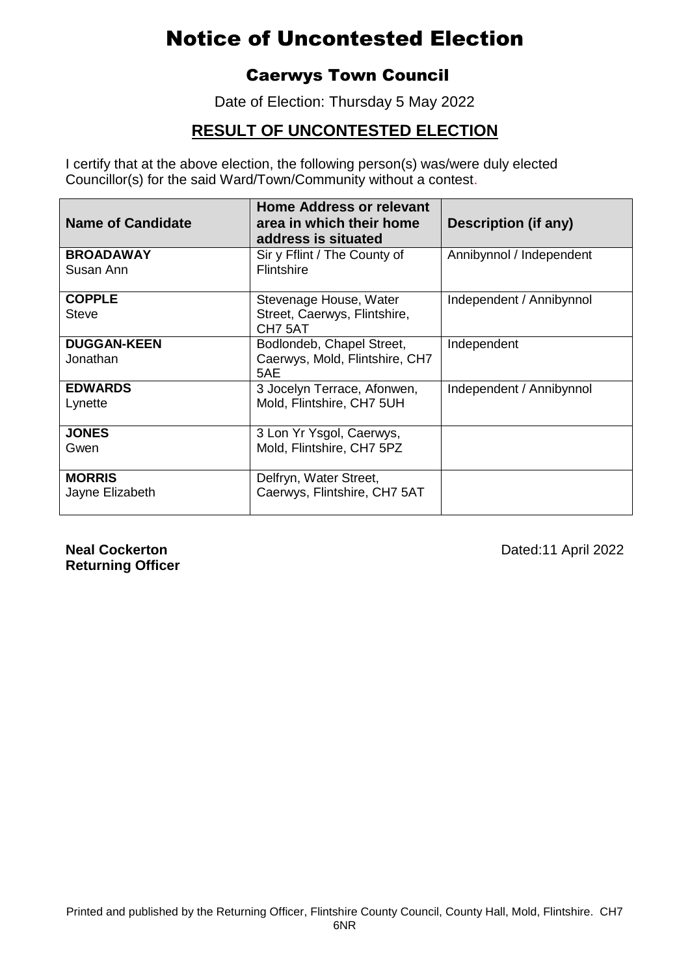#### Caerwys Town Council

Date of Election: Thursday 5 May 2022

### **RESULT OF UNCONTESTED ELECTION**

I certify that at the above election, the following person(s) was/were duly elected Councillor(s) for the said Ward/Town/Community without a contest.

| <b>Name of Candidate</b>         | <b>Home Address or relevant</b><br>area in which their home<br>address is situated | <b>Description (if any)</b> |
|----------------------------------|------------------------------------------------------------------------------------|-----------------------------|
| <b>BROADAWAY</b><br>Susan Ann    | Sir y Fflint / The County of<br><b>Flintshire</b>                                  | Annibynnol / Independent    |
| <b>COPPLE</b><br><b>Steve</b>    | Stevenage House, Water<br>Street, Caerwys, Flintshire,<br>CH7 5AT                  | Independent / Annibynnol    |
| <b>DUGGAN-KEEN</b><br>Jonathan   | Bodlondeb, Chapel Street,<br>Caerwys, Mold, Flintshire, CH7<br>5AE                 | Independent                 |
| <b>EDWARDS</b><br>Lynette        | 3 Jocelyn Terrace, Afonwen,<br>Mold, Flintshire, CH7 5UH                           | Independent / Annibynnol    |
| <b>JONES</b><br>Gwen             | 3 Lon Yr Ysgol, Caerwys,<br>Mold, Flintshire, CH7 5PZ                              |                             |
| <b>MORRIS</b><br>Jayne Elizabeth | Delfryn, Water Street,<br>Caerwys, Flintshire, CH7 5AT                             |                             |

**Returning Officer**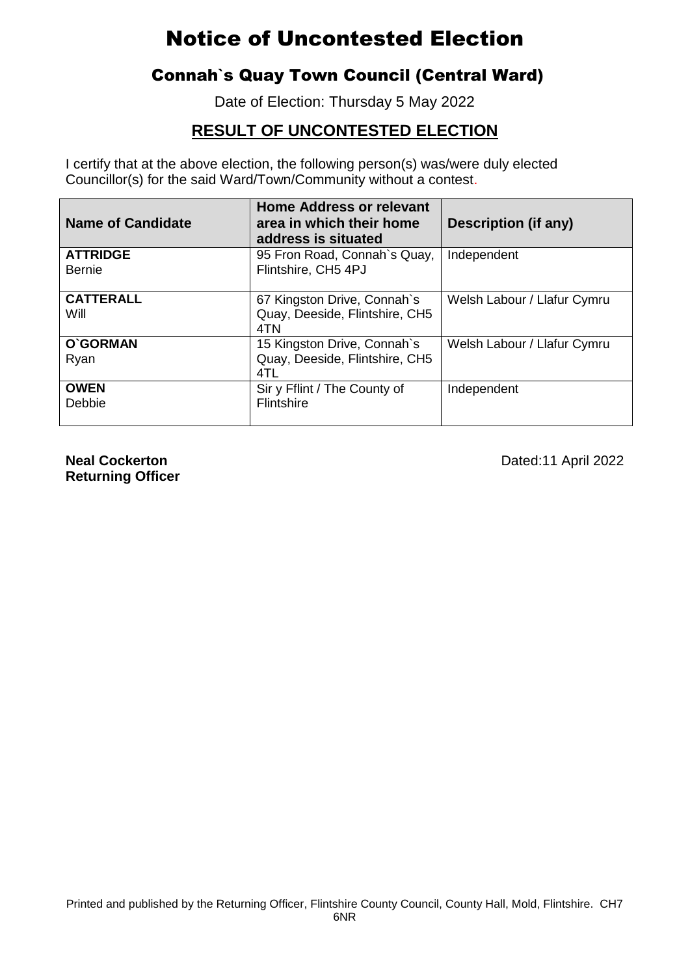### Connah`s Quay Town Council (Central Ward)

Date of Election: Thursday 5 May 2022

### **RESULT OF UNCONTESTED ELECTION**

I certify that at the above election, the following person(s) was/were duly elected Councillor(s) for the said Ward/Town/Community without a contest.

| <b>Name of Candidate</b>         | <b>Home Address or relevant</b><br>area in which their home<br>address is situated | Description (if any)        |
|----------------------------------|------------------------------------------------------------------------------------|-----------------------------|
| <b>ATTRIDGE</b><br><b>Bernie</b> | 95 Fron Road, Connah's Quay,<br>Flintshire, CH5 4PJ                                | Independent                 |
| <b>CATTERALL</b><br>Will         | 67 Kingston Drive, Connah's<br>Quay, Deeside, Flintshire, CH5<br>4TN               | Welsh Labour / Llafur Cymru |
| O'GORMAN<br>Ryan                 | 15 Kingston Drive, Connah's<br>Quay, Deeside, Flintshire, CH5<br>4TL               | Welsh Labour / Llafur Cymru |
| <b>OWEN</b><br>Debbie            | Sir y Fflint / The County of<br><b>Flintshire</b>                                  | Independent                 |

**Returning Officer**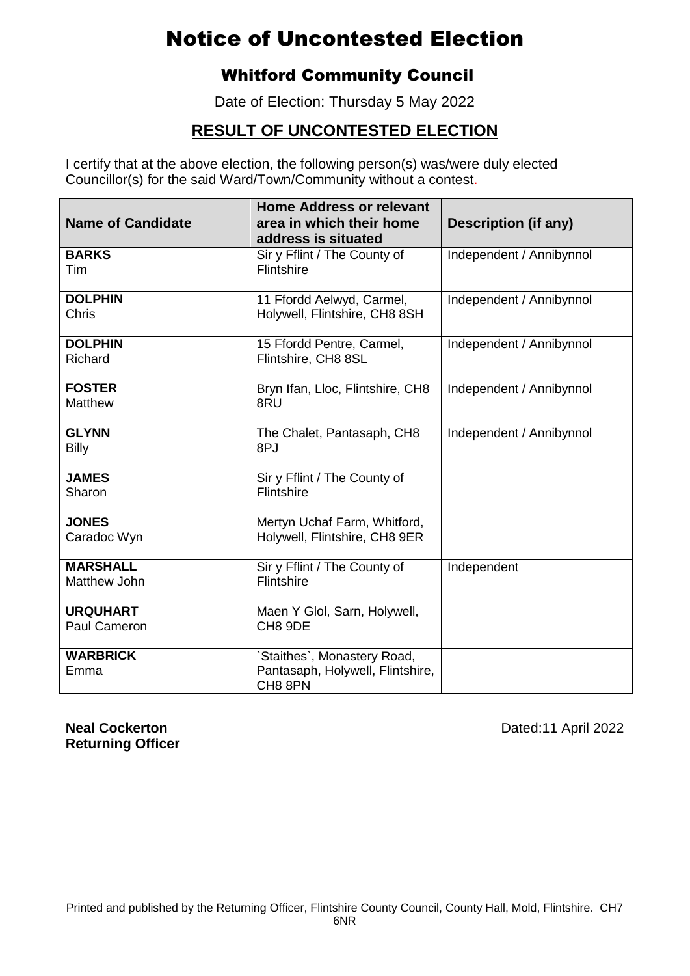### Whitford Community Council

Date of Election: Thursday 5 May 2022

### **RESULT OF UNCONTESTED ELECTION**

I certify that at the above election, the following person(s) was/were duly elected Councillor(s) for the said Ward/Town/Community without a contest.

| <b>Name of Candidate</b>        | <b>Home Address or relevant</b><br>area in which their home<br>address is situated | <b>Description (if any)</b> |
|---------------------------------|------------------------------------------------------------------------------------|-----------------------------|
| <b>BARKS</b><br><b>Tim</b>      | Sir y Fflint / The County of<br><b>Flintshire</b>                                  | Independent / Annibynnol    |
| <b>DOLPHIN</b><br><b>Chris</b>  | 11 Ffordd Aelwyd, Carmel,<br>Holywell, Flintshire, CH8 8SH                         | Independent / Annibynnol    |
| <b>DOLPHIN</b><br>Richard       | 15 Ffordd Pentre, Carmel,<br>Flintshire, CH8 8SL                                   | Independent / Annibynnol    |
| <b>FOSTER</b><br><b>Matthew</b> | Bryn Ifan, Lloc, Flintshire, CH8<br>8RU                                            | Independent / Annibynnol    |
| <b>GLYNN</b><br><b>Billy</b>    | The Chalet, Pantasaph, CH8<br>8PJ                                                  | Independent / Annibynnol    |
| <b>JAMES</b><br>Sharon          | Sir y Fflint / The County of<br>Flintshire                                         |                             |
| <b>JONES</b><br>Caradoc Wyn     | Mertyn Uchaf Farm, Whitford,<br>Holywell, Flintshire, CH8 9ER                      |                             |
| <b>MARSHALL</b><br>Matthew John | Sir y Fflint / The County of<br>Flintshire                                         | Independent                 |
| <b>URQUHART</b><br>Paul Cameron | Maen Y Glol, Sarn, Holywell,<br>CH8 9DE                                            |                             |
| <b>WARBRICK</b><br>Emma         | Staithes', Monastery Road,<br>Pantasaph, Holywell, Flintshire,<br>CH8 8PN          |                             |

**Returning Officer**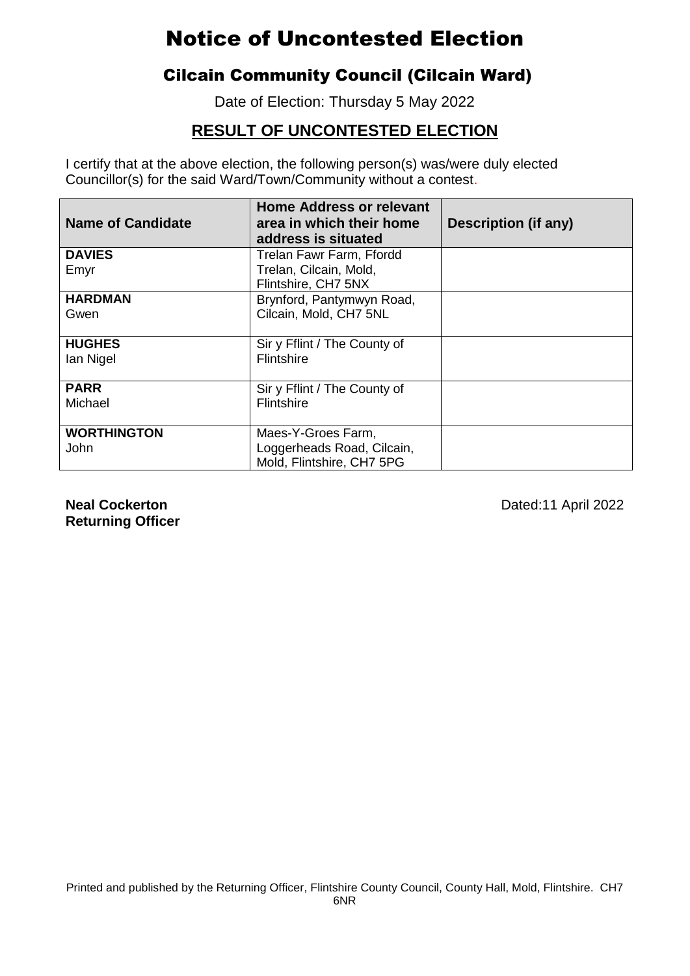### Cilcain Community Council (Cilcain Ward)

Date of Election: Thursday 5 May 2022

### **RESULT OF UNCONTESTED ELECTION**

I certify that at the above election, the following person(s) was/were duly elected Councillor(s) for the said Ward/Town/Community without a contest.

| <b>Name of Candidate</b> | <b>Home Address or relevant</b><br>area in which their home<br>address is situated | <b>Description (if any)</b> |
|--------------------------|------------------------------------------------------------------------------------|-----------------------------|
| <b>DAVIES</b>            | Trelan Fawr Farm, Ffordd                                                           |                             |
| Emyr                     | Trelan, Cilcain, Mold,<br>Flintshire, CH7 5NX                                      |                             |
| <b>HARDMAN</b>           | Brynford, Pantymwyn Road,                                                          |                             |
| Gwen                     | Cilcain, Mold, CH7 5NL                                                             |                             |
| <b>HUGHES</b>            | Sir y Fflint / The County of                                                       |                             |
| lan Nigel                | <b>Flintshire</b>                                                                  |                             |
| <b>PARR</b>              | Sir y Fflint / The County of                                                       |                             |
| Michael                  | <b>Flintshire</b>                                                                  |                             |
| <b>WORTHINGTON</b>       | Maes-Y-Groes Farm,                                                                 |                             |
| John                     | Loggerheads Road, Cilcain,                                                         |                             |
|                          | Mold, Flintshire, CH7 5PG                                                          |                             |

**Returning Officer**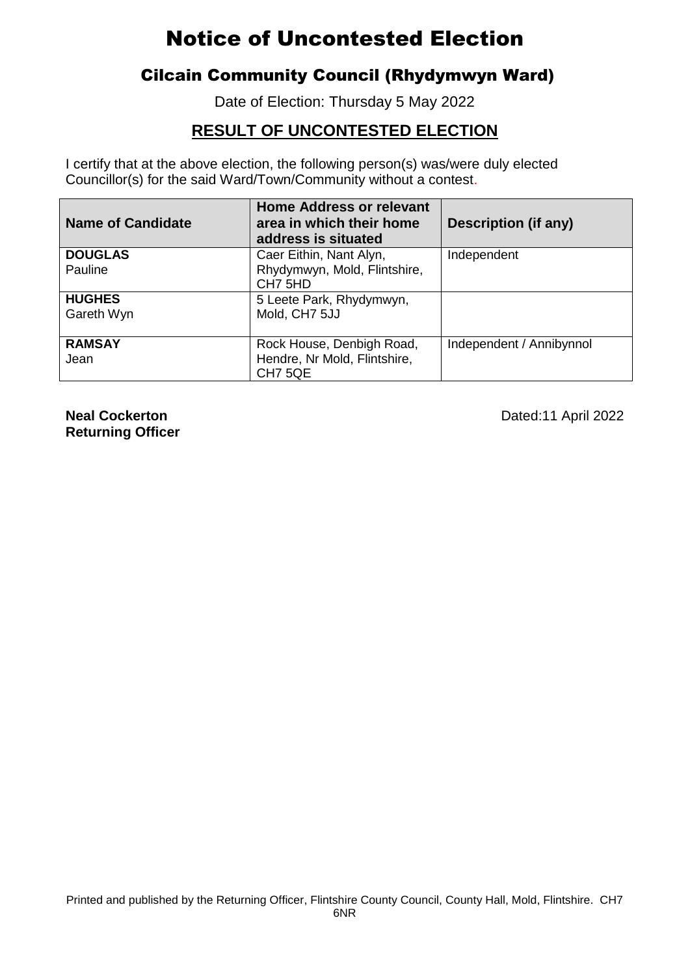### Cilcain Community Council (Rhydymwyn Ward)

Date of Election: Thursday 5 May 2022

### **RESULT OF UNCONTESTED ELECTION**

I certify that at the above election, the following person(s) was/were duly elected Councillor(s) for the said Ward/Town/Community without a contest.

| <b>Name of Candidate</b> | <b>Home Address or relevant</b><br>area in which their home<br>address is situated | <b>Description (if any)</b> |
|--------------------------|------------------------------------------------------------------------------------|-----------------------------|
| <b>DOUGLAS</b>           | Caer Eithin, Nant Alyn,                                                            | Independent                 |
| Pauline                  | Rhydymwyn, Mold, Flintshire,<br>CH7 5HD                                            |                             |
| <b>HUGHES</b>            | 5 Leete Park, Rhydymwyn,                                                           |                             |
| Gareth Wyn               | Mold, CH7 5JJ                                                                      |                             |
| <b>RAMSAY</b>            | Rock House, Denbigh Road,                                                          | Independent / Annibynnol    |
| Jean                     | Hendre, Nr Mold, Flintshire,                                                       |                             |
|                          | CH <sub>7</sub> 5QE                                                                |                             |

**Returning Officer**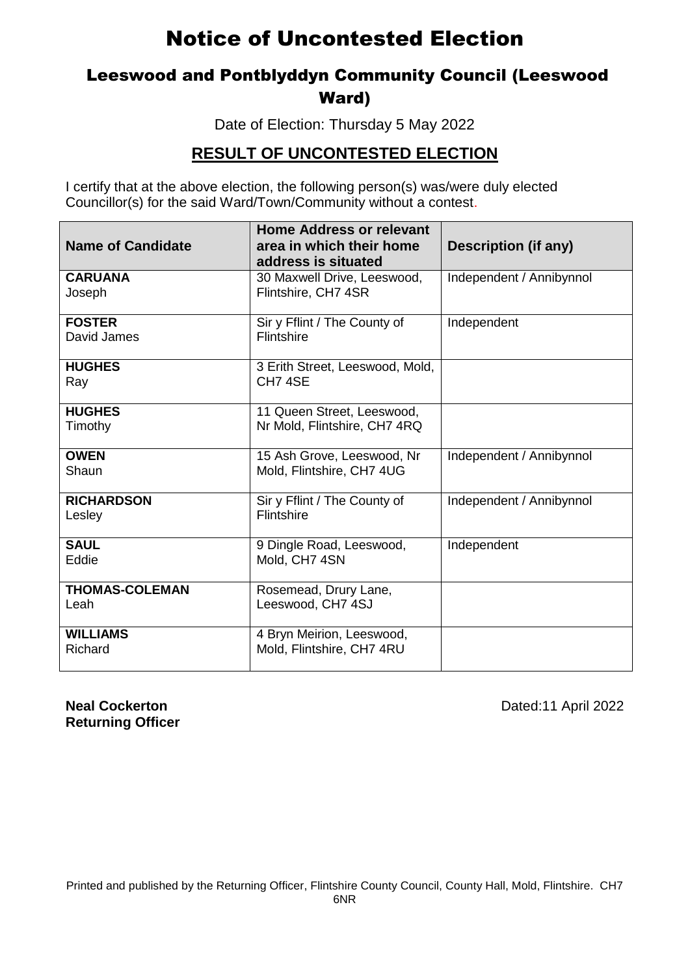### Leeswood and Pontblyddyn Community Council (Leeswood Ward)

Date of Election: Thursday 5 May 2022

#### **RESULT OF UNCONTESTED ELECTION**

I certify that at the above election, the following person(s) was/were duly elected Councillor(s) for the said Ward/Town/Community without a contest.

| <b>Name of Candidate</b>      | <b>Home Address or relevant</b><br>area in which their home<br>address is situated | Description (if any)     |
|-------------------------------|------------------------------------------------------------------------------------|--------------------------|
| <b>CARUANA</b><br>Joseph      | 30 Maxwell Drive, Leeswood,<br>Flintshire, CH7 4SR                                 | Independent / Annibynnol |
| <b>FOSTER</b><br>David James  | Sir y Fflint / The County of<br><b>Flintshire</b>                                  | Independent              |
| <b>HUGHES</b><br>Ray          | 3 Erith Street, Leeswood, Mold,<br>CH7 4SE                                         |                          |
| <b>HUGHES</b><br>Timothy      | 11 Queen Street, Leeswood,<br>Nr Mold, Flintshire, CH7 4RQ                         |                          |
| <b>OWEN</b><br>Shaun          | 15 Ash Grove, Leeswood, Nr<br>Mold, Flintshire, CH7 4UG                            | Independent / Annibynnol |
| <b>RICHARDSON</b><br>Lesley   | Sir y Fflint / The County of<br><b>Flintshire</b>                                  | Independent / Annibynnol |
| <b>SAUL</b><br>Eddie          | 9 Dingle Road, Leeswood,<br>Mold, CH7 4SN                                          | Independent              |
| <b>THOMAS-COLEMAN</b><br>Leah | Rosemead, Drury Lane,<br>Leeswood, CH7 4SJ                                         |                          |
| <b>WILLIAMS</b><br>Richard    | 4 Bryn Meirion, Leeswood,<br>Mold, Flintshire, CH7 4RU                             |                          |

**Returning Officer**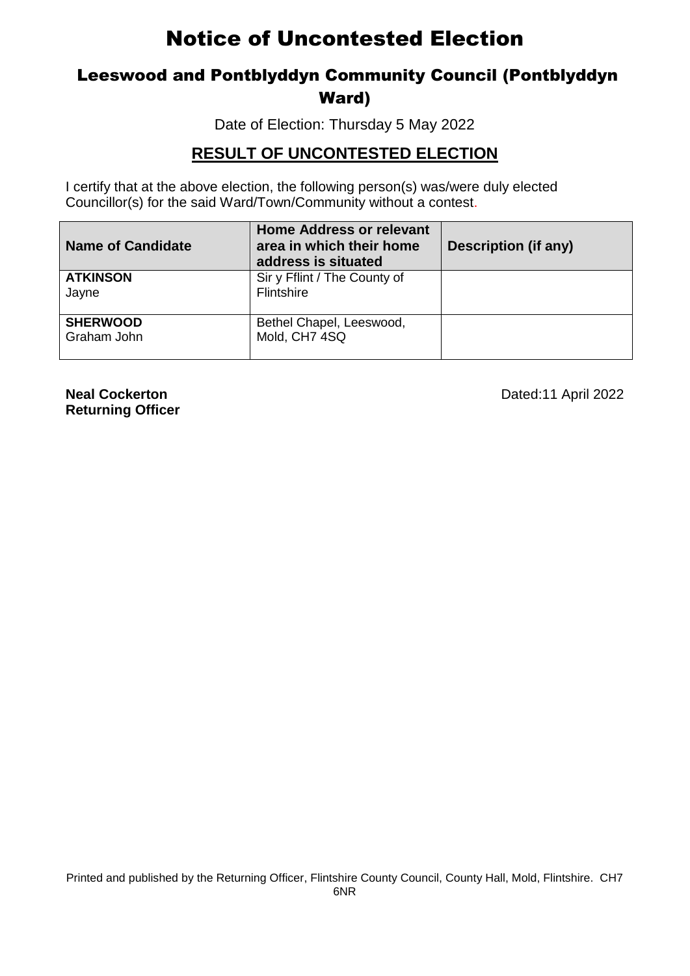### Leeswood and Pontblyddyn Community Council (Pontblyddyn Ward)

Date of Election: Thursday 5 May 2022

#### **RESULT OF UNCONTESTED ELECTION**

I certify that at the above election, the following person(s) was/were duly elected Councillor(s) for the said Ward/Town/Community without a contest.

| <b>Name of Candidate</b>       | <b>Home Address or relevant</b><br>area in which their home<br>address is situated | <b>Description (if any)</b> |
|--------------------------------|------------------------------------------------------------------------------------|-----------------------------|
| <b>ATKINSON</b><br>Jayne       | Sir y Fflint / The County of<br>Flintshire                                         |                             |
| <b>SHERWOOD</b><br>Graham John | Bethel Chapel, Leeswood,<br>Mold, CH7 4SQ                                          |                             |

**Returning Officer**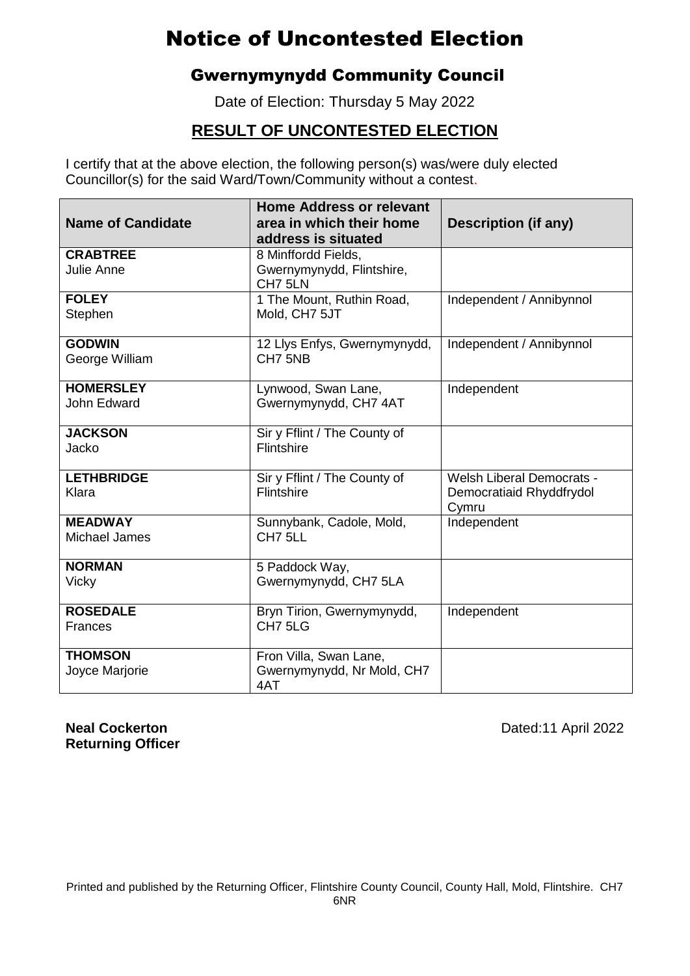### Gwernymynydd Community Council

Date of Election: Thursday 5 May 2022

### **RESULT OF UNCONTESTED ELECTION**

I certify that at the above election, the following person(s) was/were duly elected Councillor(s) for the said Ward/Town/Community without a contest.

| <b>Name of Candidate</b>          | <b>Home Address or relevant</b><br>area in which their home<br>address is situated | Description (if any)              |
|-----------------------------------|------------------------------------------------------------------------------------|-----------------------------------|
| <b>CRABTREE</b>                   | 8 Minffordd Fields,                                                                |                                   |
| <b>Julie Anne</b>                 | Gwernymynydd, Flintshire,<br>CH7 5LN                                               |                                   |
| <b>FOLEY</b><br>Stephen           | 1 The Mount, Ruthin Road,<br>Mold, CH7 5JT                                         | Independent / Annibynnol          |
| <b>GODWIN</b>                     | 12 Llys Enfys, Gwernymynydd,                                                       | Independent / Annibynnol          |
| George William                    | CH7 5NB                                                                            |                                   |
| <b>HOMERSLEY</b>                  | Lynwood, Swan Lane,                                                                | Independent                       |
| John Edward                       | Gwernymynydd, CH7 4AT                                                              |                                   |
| <b>JACKSON</b><br>Jacko           | Sir y Fflint / The County of<br>Flintshire                                         |                                   |
| <b>LETHBRIDGE</b>                 | Sir y Fflint / The County of                                                       | <b>Welsh Liberal Democrats -</b>  |
| Klara                             | <b>Flintshire</b>                                                                  | Democratiaid Rhyddfrydol<br>Cymru |
| <b>MEADWAY</b><br>Michael James   | Sunnybank, Cadole, Mold,<br>CH7 5LL                                                | Independent                       |
| <b>NORMAN</b><br>Vicky            | 5 Paddock Way,<br>Gwernymynydd, CH7 5LA                                            |                                   |
|                                   |                                                                                    |                                   |
| <b>ROSEDALE</b><br><b>Frances</b> | Bryn Tirion, Gwernymynydd,<br>CH <sub>7</sub> 5LG                                  | Independent                       |
| <b>THOMSON</b><br>Joyce Marjorie  | Fron Villa, Swan Lane,<br>Gwernymynydd, Nr Mold, CH7<br>4AT                        |                                   |

**Returning Officer**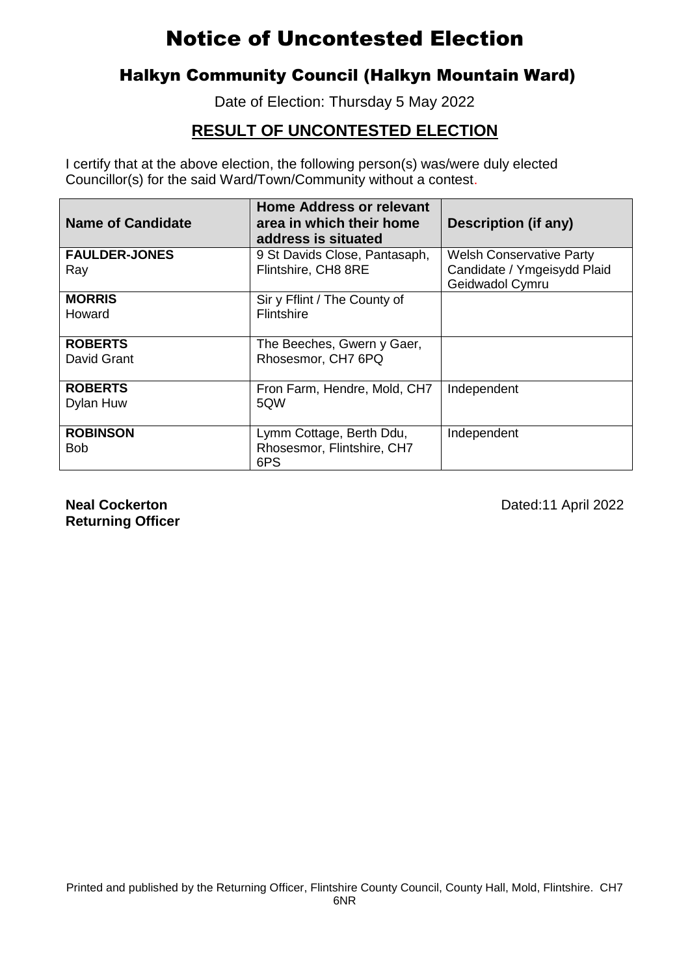### Halkyn Community Council (Halkyn Mountain Ward)

Date of Election: Thursday 5 May 2022

### **RESULT OF UNCONTESTED ELECTION**

I certify that at the above election, the following person(s) was/were duly elected Councillor(s) for the said Ward/Town/Community without a contest.

| <b>Name of Candidate</b> | <b>Home Address or relevant</b><br>area in which their home<br>address is situated | Description (if any)                           |
|--------------------------|------------------------------------------------------------------------------------|------------------------------------------------|
| <b>FAULDER-JONES</b>     | 9 St Davids Close, Pantasaph,                                                      | <b>Welsh Conservative Party</b>                |
| Ray                      | Flintshire, CH8 8RE                                                                | Candidate / Ymgeisydd Plaid<br>Geidwadol Cymru |
| <b>MORRIS</b>            | Sir y Fflint / The County of                                                       |                                                |
| Howard                   | <b>Flintshire</b>                                                                  |                                                |
| <b>ROBERTS</b>           | The Beeches, Gwern y Gaer,                                                         |                                                |
| David Grant              | Rhosesmor, CH7 6PQ                                                                 |                                                |
| <b>ROBERTS</b>           | Fron Farm, Hendre, Mold, CH7                                                       | Independent                                    |
| Dylan Huw                | 5QW                                                                                |                                                |
| <b>ROBINSON</b>          | Lymm Cottage, Berth Ddu,                                                           | Independent                                    |
| <b>Bob</b>               | Rhosesmor, Flintshire, CH7                                                         |                                                |
|                          | 6PS                                                                                |                                                |

**Returning Officer**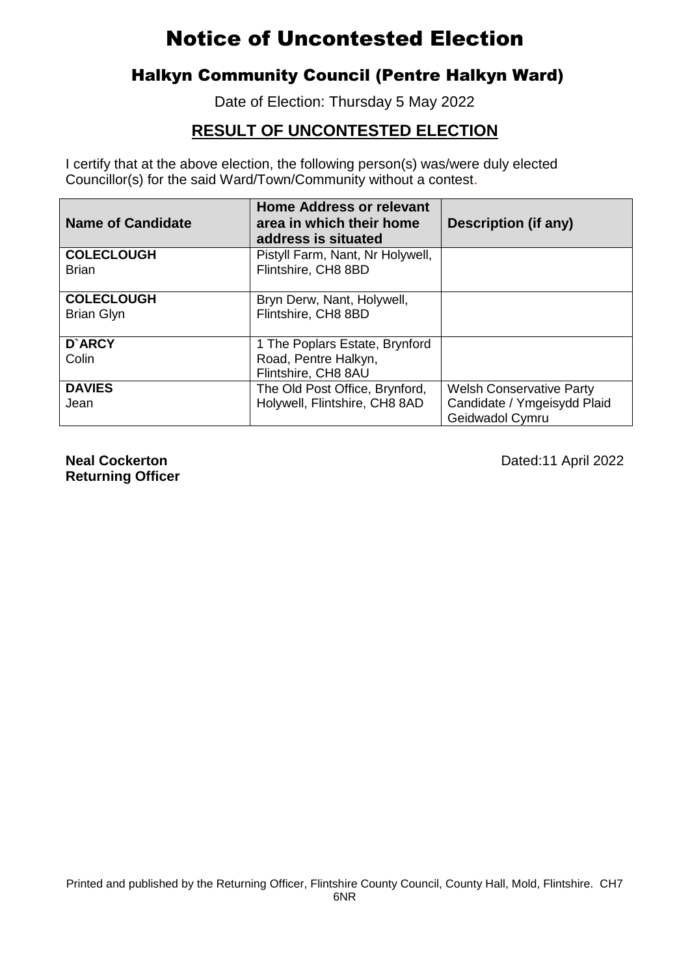### Halkyn Community Council (Pentre Halkyn Ward)

Date of Election: Thursday 5 May 2022

### **RESULT OF UNCONTESTED ELECTION**

I certify that at the above election, the following person(s) was/were duly elected Councillor(s) for the said Ward/Town/Community without a contest.

| <b>Name of Candidate</b> | <b>Home Address or relevant</b><br>area in which their home<br>address is situated | <b>Description (if any)</b>                    |
|--------------------------|------------------------------------------------------------------------------------|------------------------------------------------|
| <b>COLECLOUGH</b>        | Pistyll Farm, Nant, Nr Holywell,                                                   |                                                |
| <b>Brian</b>             | Flintshire, CH8 8BD                                                                |                                                |
| <b>COLECLOUGH</b>        | Bryn Derw, Nant, Holywell,                                                         |                                                |
| <b>Brian Glyn</b>        | Flintshire, CH8 8BD                                                                |                                                |
| D'ARCY                   | 1 The Poplars Estate, Brynford                                                     |                                                |
| Colin                    | Road, Pentre Halkyn,                                                               |                                                |
|                          | Flintshire, CH8 8AU                                                                |                                                |
| <b>DAVIES</b>            | The Old Post Office, Brynford,                                                     | <b>Welsh Conservative Party</b>                |
| Jean                     | Holywell, Flintshire, CH8 8AD                                                      | Candidate / Ymgeisydd Plaid<br>Geidwadol Cymru |

**Returning Officer**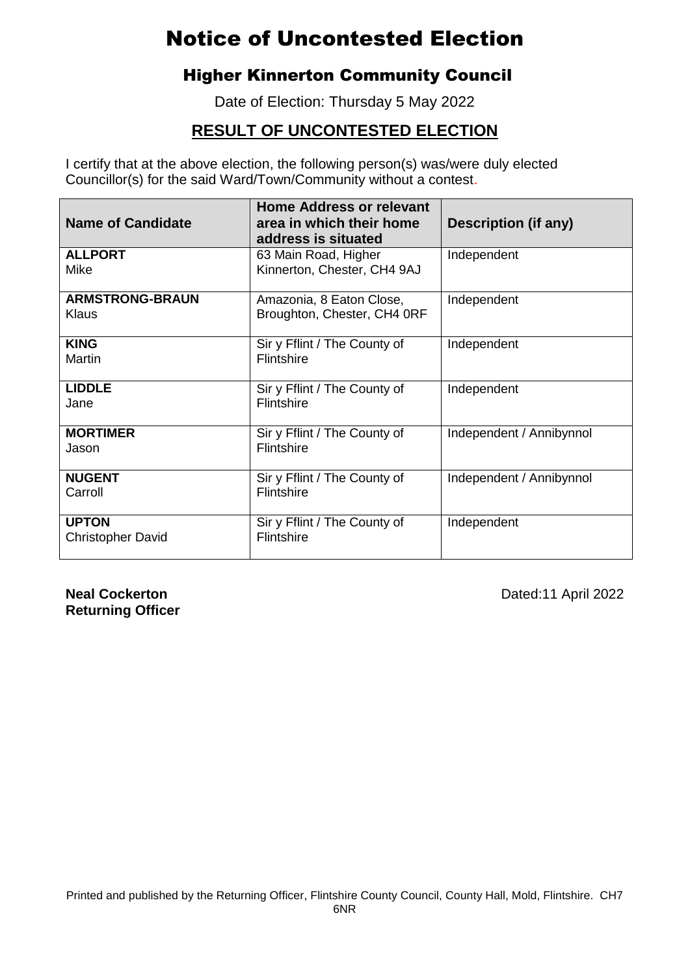### Higher Kinnerton Community Council

Date of Election: Thursday 5 May 2022

### **RESULT OF UNCONTESTED ELECTION**

I certify that at the above election, the following person(s) was/were duly elected Councillor(s) for the said Ward/Town/Community without a contest.

| <b>Name of Candidate</b>                 | <b>Home Address or relevant</b><br>area in which their home<br>address is situated | <b>Description (if any)</b> |
|------------------------------------------|------------------------------------------------------------------------------------|-----------------------------|
| <b>ALLPORT</b><br>Mike                   | 63 Main Road, Higher<br>Kinnerton, Chester, CH4 9AJ                                | Independent                 |
| <b>ARMSTRONG-BRAUN</b><br>Klaus          | Amazonia, 8 Eaton Close,<br>Broughton, Chester, CH4 ORF                            | Independent                 |
| <b>KING</b><br>Martin                    | Sir y Fflint / The County of<br>Flintshire                                         | Independent                 |
| <b>LIDDLE</b><br>Jane                    | Sir y Fflint / The County of<br>Flintshire                                         | Independent                 |
| <b>MORTIMER</b><br>Jason                 | Sir y Fflint / The County of<br><b>Flintshire</b>                                  | Independent / Annibynnol    |
| <b>NUGENT</b><br>Carroll                 | Sir y Fflint / The County of<br>Flintshire                                         | Independent / Annibynnol    |
| <b>UPTON</b><br><b>Christopher David</b> | Sir y Fflint / The County of<br>Flintshire                                         | Independent                 |

**Returning Officer**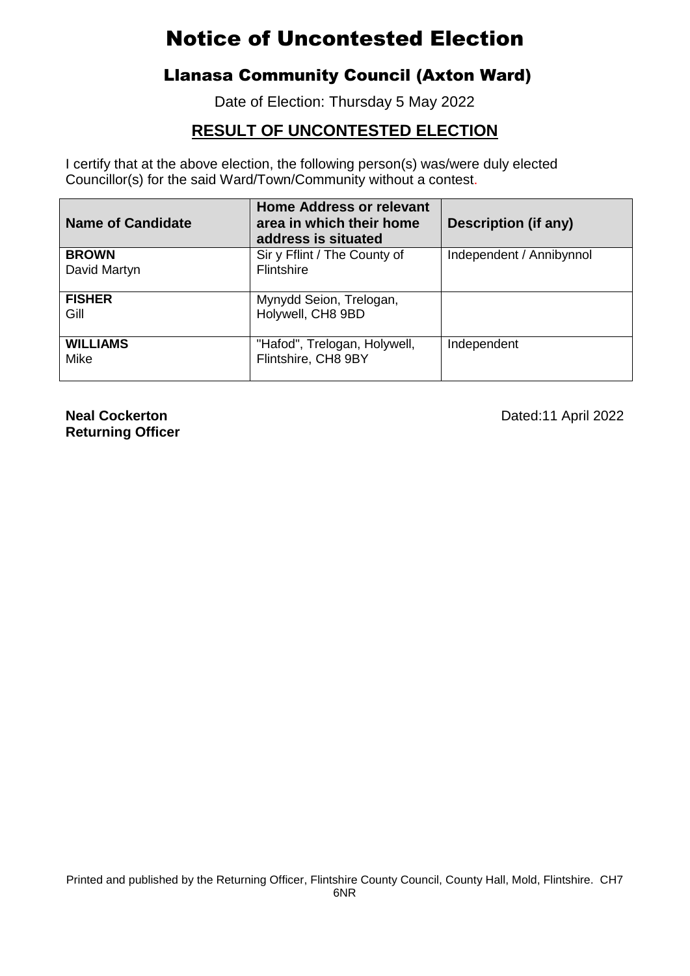### Llanasa Community Council (Axton Ward)

Date of Election: Thursday 5 May 2022

### **RESULT OF UNCONTESTED ELECTION**

I certify that at the above election, the following person(s) was/were duly elected Councillor(s) for the said Ward/Town/Community without a contest.

| <b>Name of Candidate</b> | <b>Home Address or relevant</b><br>area in which their home<br>address is situated | Description (if any)     |
|--------------------------|------------------------------------------------------------------------------------|--------------------------|
| <b>BROWN</b>             | Sir y Fflint / The County of                                                       | Independent / Annibynnol |
| David Martyn             | <b>Flintshire</b>                                                                  |                          |
| <b>FISHER</b>            | Mynydd Seion, Trelogan,                                                            |                          |
| Gill                     | Holywell, CH8 9BD                                                                  |                          |
| <b>WILLIAMS</b>          | "Hafod", Trelogan, Holywell,                                                       | Independent              |
| Mike                     | Flintshire, CH8 9BY                                                                |                          |

**Returning Officer**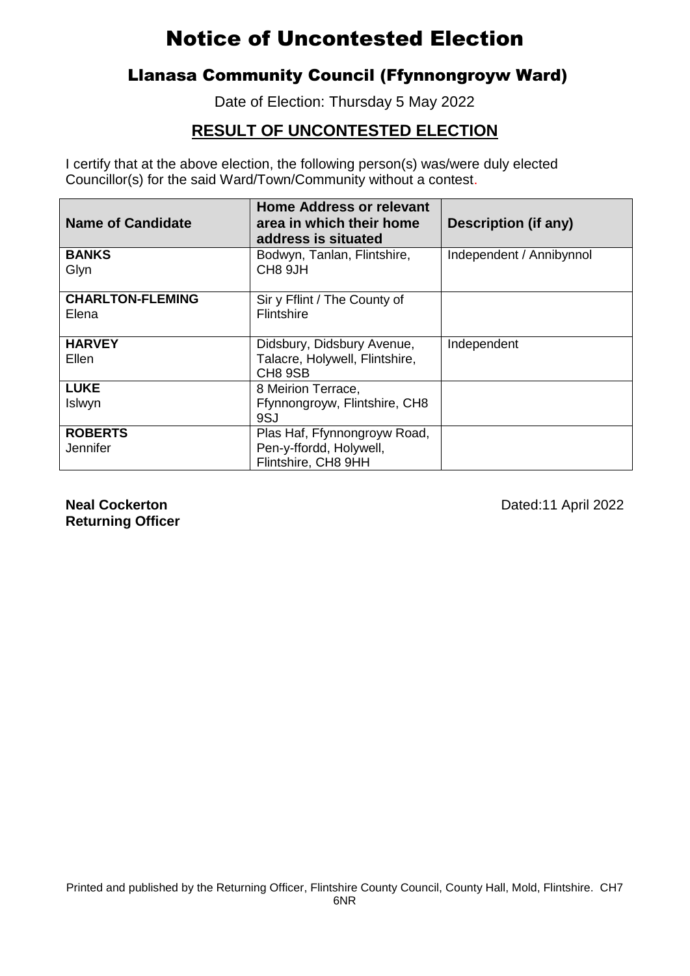## Llanasa Community Council (Ffynnongroyw Ward)

Date of Election: Thursday 5 May 2022

## **RESULT OF UNCONTESTED ELECTION**

I certify that at the above election, the following person(s) was/were duly elected Councillor(s) for the said Ward/Town/Community without a contest.

| <b>Name of Candidate</b>         | <b>Home Address or relevant</b><br>area in which their home<br>address is situated | <b>Description (if any)</b> |
|----------------------------------|------------------------------------------------------------------------------------|-----------------------------|
| <b>BANKS</b><br>Glyn             | Bodwyn, Tanlan, Flintshire,<br>CH8 9JH                                             | Independent / Annibynnol    |
| <b>CHARLTON-FLEMING</b><br>Elena | Sir y Fflint / The County of<br><b>Flintshire</b>                                  |                             |
| <b>HARVEY</b><br>Ellen           | Didsbury, Didsbury Avenue,<br>Talacre, Holywell, Flintshire,<br>CH8 9SB            | Independent                 |
| <b>LUKE</b><br>Islwyn            | 8 Meirion Terrace,<br>Ffynnongroyw, Flintshire, CH8<br>9SJ                         |                             |
| <b>ROBERTS</b><br>Jennifer       | Plas Haf, Ffynnongroyw Road,<br>Pen-y-ffordd, Holywell,<br>Flintshire, CH8 9HH     |                             |

**Returning Officer**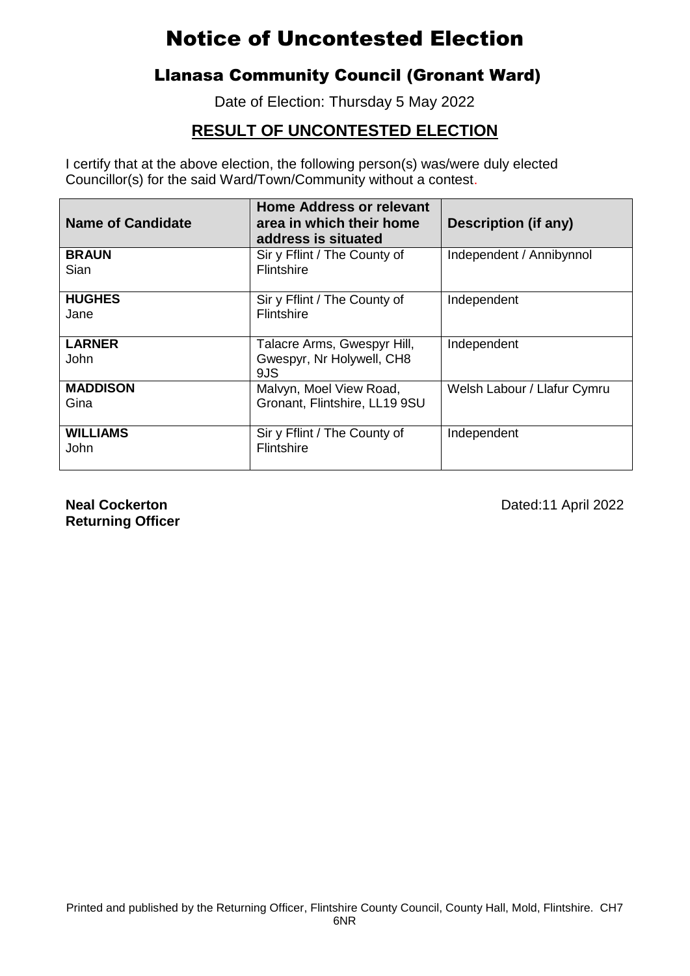### Llanasa Community Council (Gronant Ward)

Date of Election: Thursday 5 May 2022

### **RESULT OF UNCONTESTED ELECTION**

I certify that at the above election, the following person(s) was/were duly elected Councillor(s) for the said Ward/Town/Community without a contest.

| <b>Name of Candidate</b> | <b>Home Address or relevant</b><br>area in which their home<br>address is situated | Description (if any)        |
|--------------------------|------------------------------------------------------------------------------------|-----------------------------|
| <b>BRAUN</b><br>Sian     | Sir y Fflint / The County of<br><b>Flintshire</b>                                  | Independent / Annibynnol    |
| <b>HUGHES</b><br>Jane    | Sir y Fflint / The County of<br><b>Flintshire</b>                                  | Independent                 |
| <b>LARNER</b><br>John    | Talacre Arms, Gwespyr Hill,<br>Gwespyr, Nr Holywell, CH8<br>9JS                    | Independent                 |
| <b>MADDISON</b><br>Gina  | Malvyn, Moel View Road,<br>Gronant, Flintshire, LL19 9SU                           | Welsh Labour / Llafur Cymru |
| <b>WILLIAMS</b><br>John  | Sir y Fflint / The County of<br><b>Flintshire</b>                                  | Independent                 |

**Returning Officer**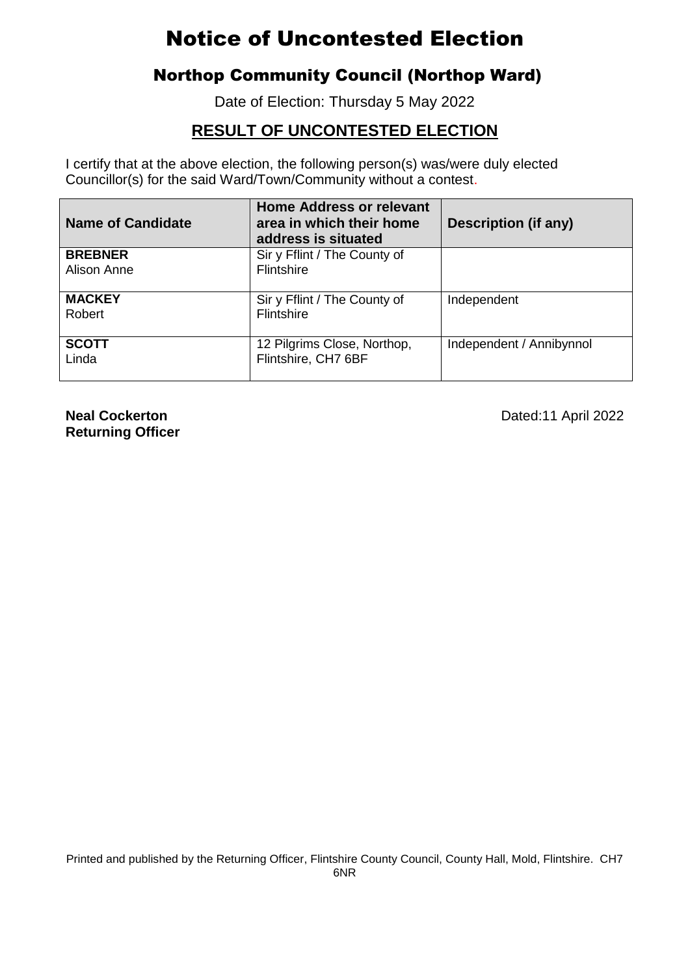### Northop Community Council (Northop Ward)

Date of Election: Thursday 5 May 2022

### **RESULT OF UNCONTESTED ELECTION**

I certify that at the above election, the following person(s) was/were duly elected Councillor(s) for the said Ward/Town/Community without a contest.

| <b>Name of Candidate</b> | <b>Home Address or relevant</b><br>area in which their home<br>address is situated | Description (if any)     |
|--------------------------|------------------------------------------------------------------------------------|--------------------------|
| <b>BREBNER</b>           | Sir y Fflint / The County of                                                       |                          |
| Alison Anne              | Flintshire                                                                         |                          |
| <b>MACKEY</b>            | Sir y Fflint / The County of                                                       | Independent              |
| Robert                   | <b>Flintshire</b>                                                                  |                          |
| <b>SCOTT</b>             | 12 Pilgrims Close, Northop,                                                        | Independent / Annibynnol |
| Linda                    | Flintshire, CH7 6BF                                                                |                          |

**Returning Officer**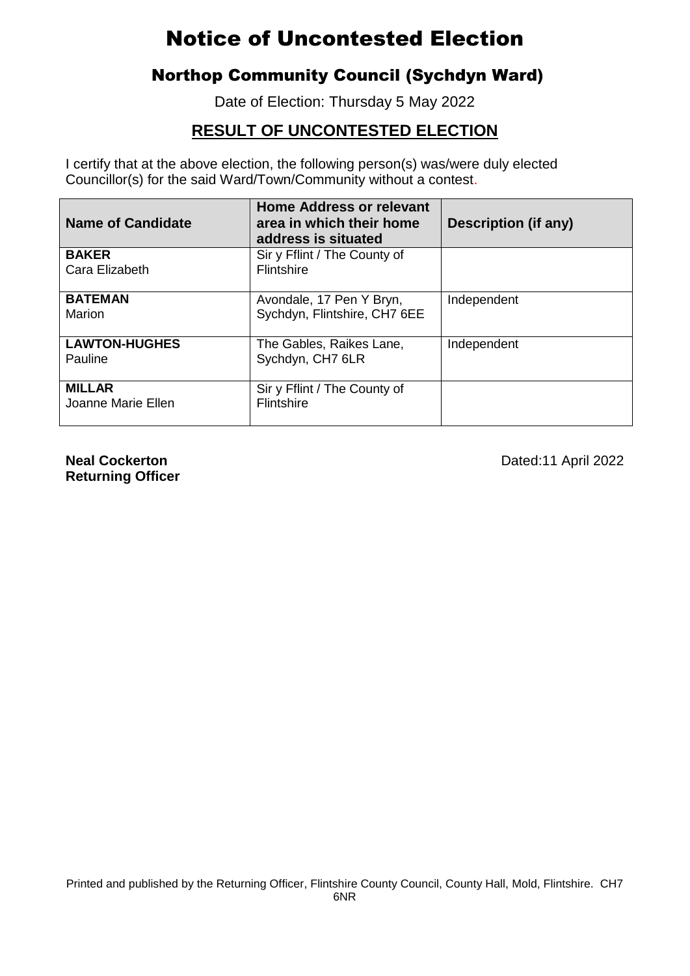### Northop Community Council (Sychdyn Ward)

Date of Election: Thursday 5 May 2022

### **RESULT OF UNCONTESTED ELECTION**

I certify that at the above election, the following person(s) was/were duly elected Councillor(s) for the said Ward/Town/Community without a contest.

| <b>Name of Candidate</b> | <b>Home Address or relevant</b><br>area in which their home<br>address is situated | <b>Description (if any)</b> |
|--------------------------|------------------------------------------------------------------------------------|-----------------------------|
| <b>BAKER</b>             | Sir y Fflint / The County of                                                       |                             |
| Cara Elizabeth           | <b>Flintshire</b>                                                                  |                             |
| <b>BATEMAN</b>           | Avondale, 17 Pen Y Bryn,                                                           | Independent                 |
| Marion                   | Sychdyn, Flintshire, CH7 6EE                                                       |                             |
| <b>LAWTON-HUGHES</b>     | The Gables, Raikes Lane,                                                           | Independent                 |
| Pauline                  | Sychdyn, CH7 6LR                                                                   |                             |
| <b>MILLAR</b>            | Sir y Fflint / The County of                                                       |                             |
| Joanne Marie Ellen       | <b>Flintshire</b>                                                                  |                             |
|                          |                                                                                    |                             |

**Returning Officer**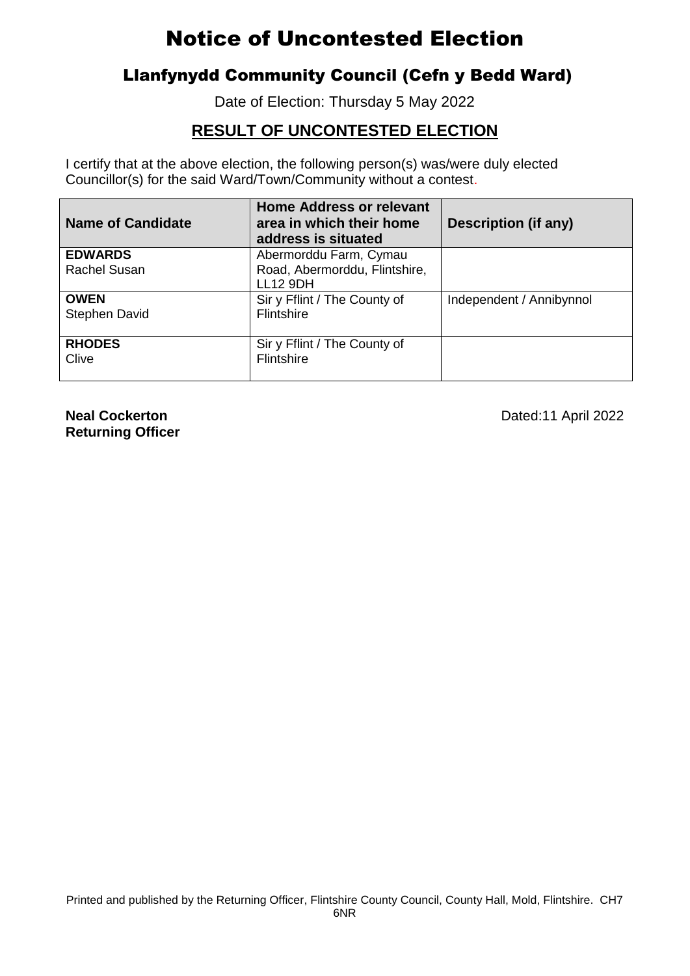### Llanfynydd Community Council (Cefn y Bedd Ward)

Date of Election: Thursday 5 May 2022

### **RESULT OF UNCONTESTED ELECTION**

I certify that at the above election, the following person(s) was/were duly elected Councillor(s) for the said Ward/Town/Community without a contest.

| <b>Name of Candidate</b> | <b>Home Address or relevant</b><br>area in which their home<br>address is situated | Description (if any)     |
|--------------------------|------------------------------------------------------------------------------------|--------------------------|
| <b>EDWARDS</b>           | Abermorddu Farm, Cymau                                                             |                          |
| Rachel Susan             | Road, Abermorddu, Flintshire,<br><b>LL12 9DH</b>                                   |                          |
| <b>OWEN</b>              | Sir y Fflint / The County of                                                       | Independent / Annibynnol |
| Stephen David            | <b>Flintshire</b>                                                                  |                          |
| <b>RHODES</b>            | Sir y Fflint / The County of                                                       |                          |
| Clive                    | <b>Flintshire</b>                                                                  |                          |

**Returning Officer**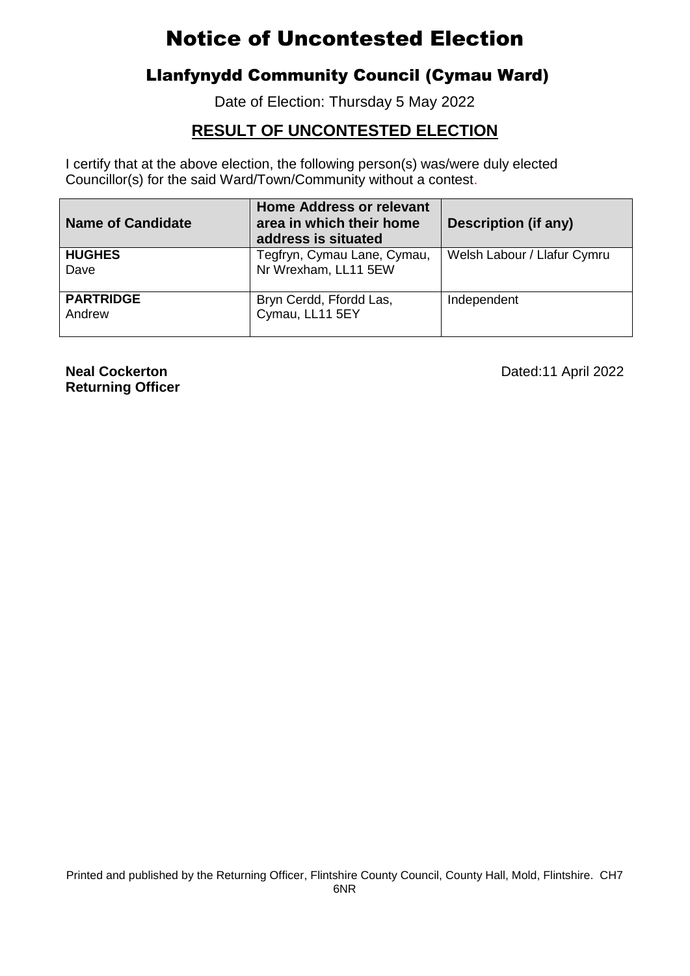### Llanfynydd Community Council (Cymau Ward)

Date of Election: Thursday 5 May 2022

#### **RESULT OF UNCONTESTED ELECTION**

I certify that at the above election, the following person(s) was/were duly elected Councillor(s) for the said Ward/Town/Community without a contest.

| <b>Name of Candidate</b>   | <b>Home Address or relevant</b><br>area in which their home<br>address is situated | <b>Description (if any)</b> |
|----------------------------|------------------------------------------------------------------------------------|-----------------------------|
| <b>HUGHES</b><br>Dave      | Tegfryn, Cymau Lane, Cymau,<br>Nr Wrexham, LL11 5EW                                | Welsh Labour / Llafur Cymru |
| <b>PARTRIDGE</b><br>Andrew | Bryn Cerdd, Ffordd Las,<br>Cymau, LL11 5EY                                         | Independent                 |

**Returning Officer**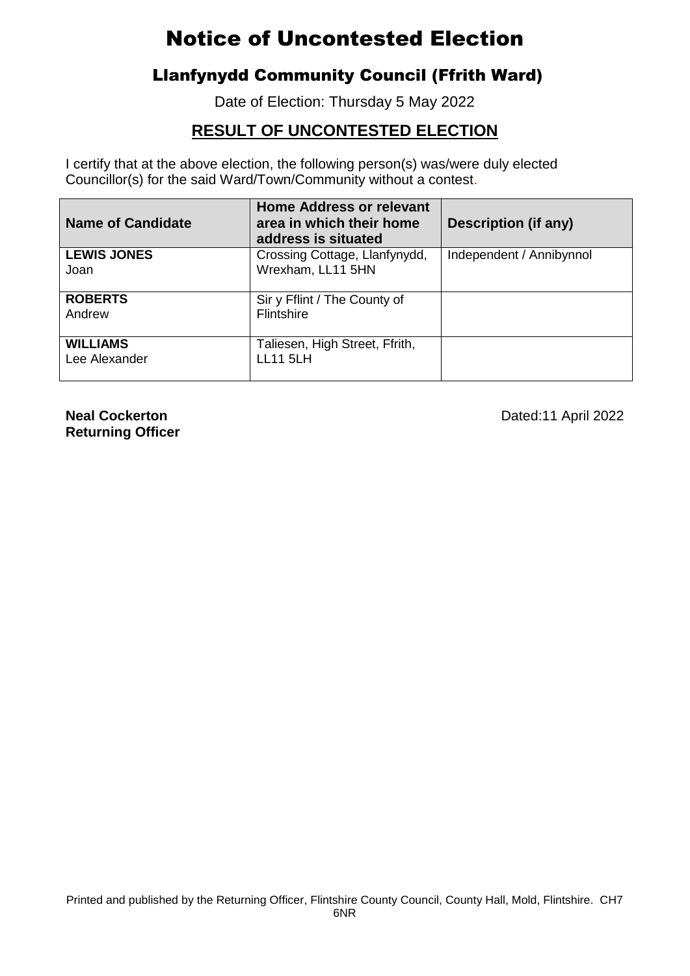## Llanfynydd Community Council (Ffrith Ward)

Date of Election: Thursday 5 May 2022

## **RESULT OF UNCONTESTED ELECTION**

I certify that at the above election, the following person(s) was/were duly elected Councillor(s) for the said Ward/Town/Community without a contest.

| <b>Name of Candidate</b>         | <b>Home Address or relevant</b><br>area in which their home<br>address is situated | Description (if any)     |
|----------------------------------|------------------------------------------------------------------------------------|--------------------------|
| <b>LEWIS JONES</b><br>Joan       | Crossing Cottage, Llanfynydd,<br>Wrexham, LL11 5HN                                 | Independent / Annibynnol |
| <b>ROBERTS</b><br>Andrew         | Sir y Fflint / The County of<br>Flintshire                                         |                          |
| <b>WILLIAMS</b><br>Lee Alexander | Taliesen, High Street, Ffrith,<br><b>LL11 5LH</b>                                  |                          |

**Returning Officer**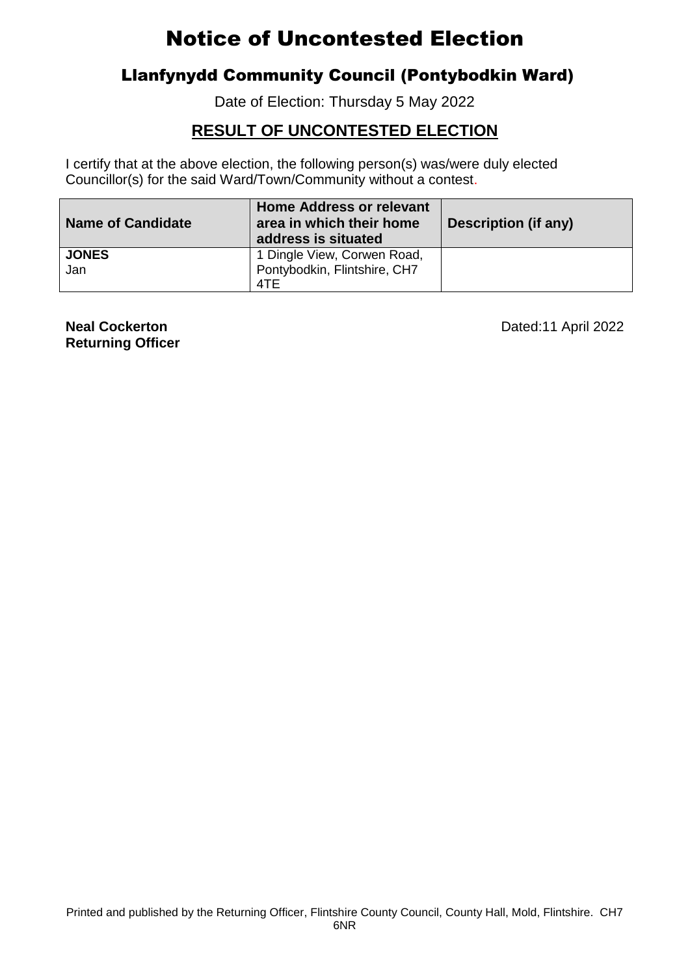### Llanfynydd Community Council (Pontybodkin Ward)

Date of Election: Thursday 5 May 2022

### **RESULT OF UNCONTESTED ELECTION**

I certify that at the above election, the following person(s) was/were duly elected Councillor(s) for the said Ward/Town/Community without a contest.

| <b>Name of Candidate</b> | Home Address or relevant<br>area in which their home<br>address is situated | Description (if any) |
|--------------------------|-----------------------------------------------------------------------------|----------------------|
| <b>JONES</b>             | 1 Dingle View, Corwen Road,                                                 |                      |
| Jan                      | Pontybodkin, Flintshire, CH7                                                |                      |
|                          | 4TE                                                                         |                      |

**Returning Officer**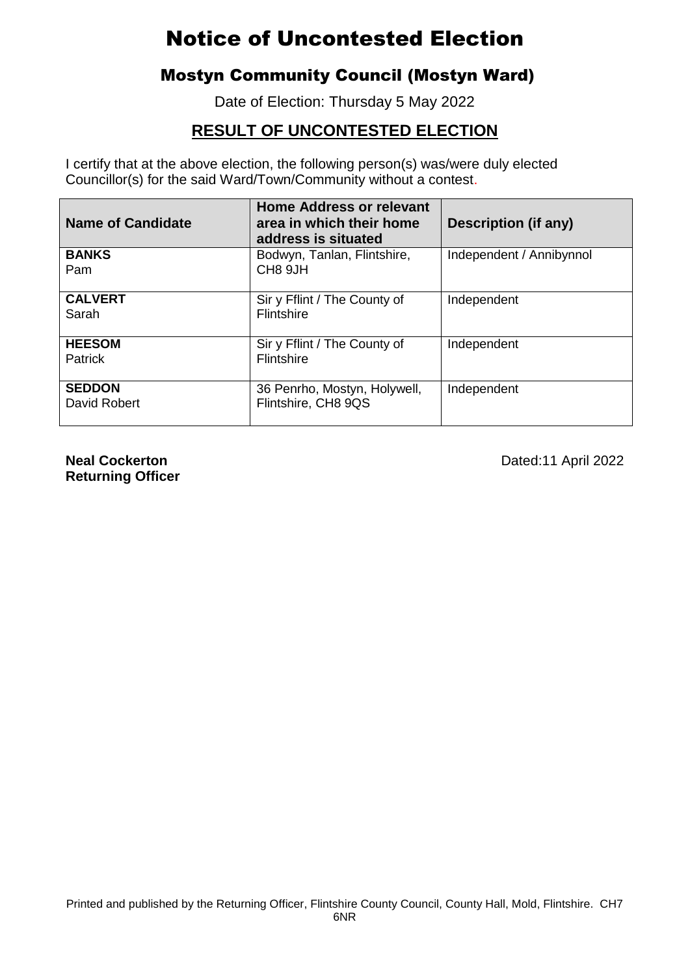## Mostyn Community Council (Mostyn Ward)

Date of Election: Thursday 5 May 2022

## **RESULT OF UNCONTESTED ELECTION**

I certify that at the above election, the following person(s) was/were duly elected Councillor(s) for the said Ward/Town/Community without a contest.

| <b>Name of Candidate</b>        | <b>Home Address or relevant</b><br>area in which their home<br>address is situated | <b>Description (if any)</b> |
|---------------------------------|------------------------------------------------------------------------------------|-----------------------------|
| <b>BANKS</b><br>Pam             | Bodwyn, Tanlan, Flintshire,<br>CH <sub>8</sub> 9JH                                 | Independent / Annibynnol    |
| <b>CALVERT</b><br>Sarah         | Sir y Fflint / The County of<br>Flintshire                                         | Independent                 |
| <b>HEESOM</b><br><b>Patrick</b> | Sir y Fflint / The County of<br><b>Flintshire</b>                                  | Independent                 |
| <b>SEDDON</b><br>David Robert   | 36 Penrho, Mostyn, Holywell,<br>Flintshire, CH8 9QS                                | Independent                 |

**Returning Officer**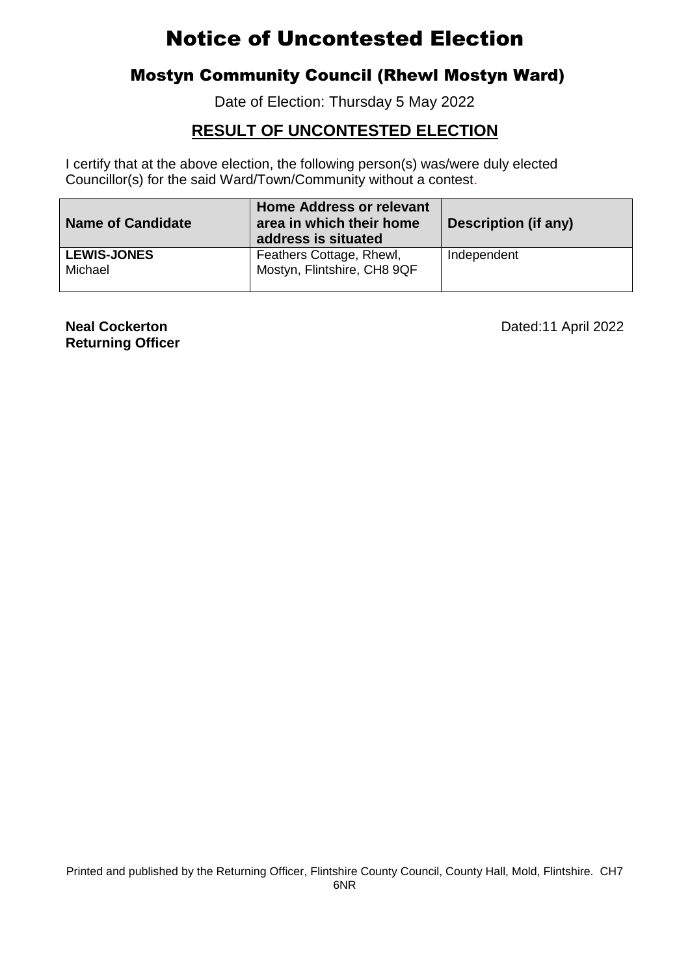### Mostyn Community Council (Rhewl Mostyn Ward)

Date of Election: Thursday 5 May 2022

### **RESULT OF UNCONTESTED ELECTION**

I certify that at the above election, the following person(s) was/were duly elected Councillor(s) for the said Ward/Town/Community without a contest.

| <b>Name of Candidate</b>      | Home Address or relevant<br>area in which their home<br>address is situated | <b>Description (if any)</b> |
|-------------------------------|-----------------------------------------------------------------------------|-----------------------------|
| <b>LEWIS-JONES</b><br>Michael | Feathers Cottage, Rhewl,<br>Mostyn, Flintshire, CH8 9QF                     | Independent                 |

**Returning Officer**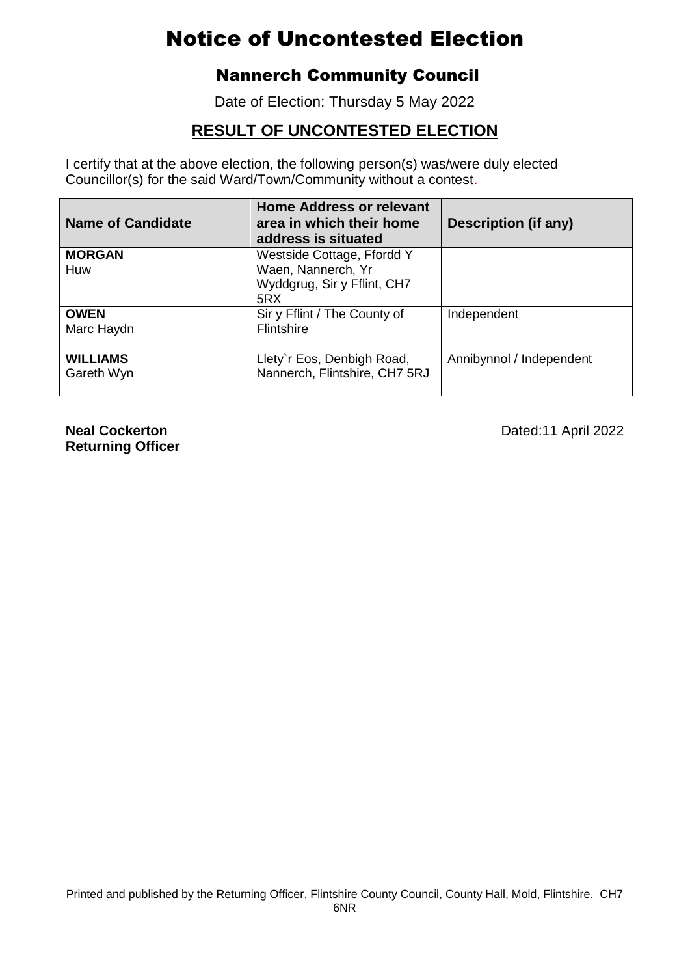### Nannerch Community Council

Date of Election: Thursday 5 May 2022

### **RESULT OF UNCONTESTED ELECTION**

I certify that at the above election, the following person(s) was/were duly elected Councillor(s) for the said Ward/Town/Community without a contest.

| <b>Name of Candidate</b>      | <b>Home Address or relevant</b><br>area in which their home<br>address is situated | <b>Description (if any)</b> |
|-------------------------------|------------------------------------------------------------------------------------|-----------------------------|
| <b>MORGAN</b>                 | Westside Cottage, Ffordd Y                                                         |                             |
| Huw                           | Waen, Nannerch, Yr                                                                 |                             |
|                               | Wyddgrug, Sir y Fflint, CH7                                                        |                             |
|                               | 5RX                                                                                |                             |
| <b>OWEN</b>                   | Sir y Fflint / The County of                                                       | Independent                 |
| Marc Haydn                    | <b>Flintshire</b>                                                                  |                             |
|                               |                                                                                    |                             |
| <b>WILLIAMS</b><br>Gareth Wyn | Llety'r Eos, Denbigh Road,<br>Nannerch, Flintshire, CH7 5RJ                        | Annibynnol / Independent    |

**Returning Officer**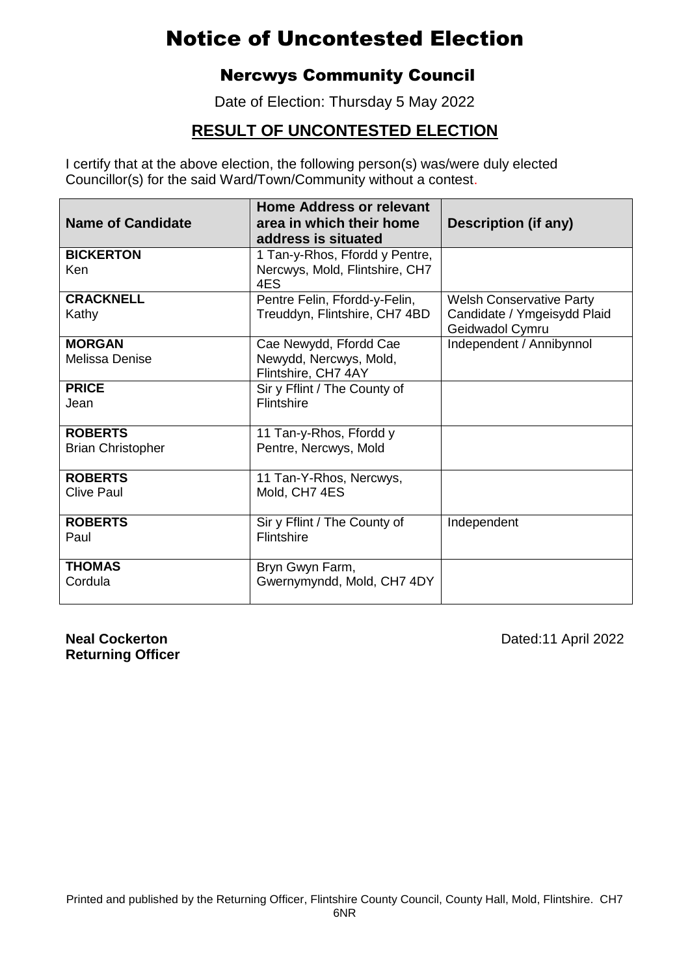### Nercwys Community Council

Date of Election: Thursday 5 May 2022

### **RESULT OF UNCONTESTED ELECTION**

I certify that at the above election, the following person(s) was/were duly elected Councillor(s) for the said Ward/Town/Community without a contest.

| <b>Name of Candidate</b>                   | Home Address or relevant<br>area in which their home<br>address is situated | Description (if any)                                                              |
|--------------------------------------------|-----------------------------------------------------------------------------|-----------------------------------------------------------------------------------|
| <b>BICKERTON</b><br>Ken                    | 1 Tan-y-Rhos, Ffordd y Pentre,<br>Nercwys, Mold, Flintshire, CH7<br>4ES     |                                                                                   |
| <b>CRACKNELL</b><br>Kathy                  | Pentre Felin, Ffordd-y-Felin,<br>Treuddyn, Flintshire, CH7 4BD              | <b>Welsh Conservative Party</b><br>Candidate / Ymgeisydd Plaid<br>Geidwadol Cymru |
| <b>MORGAN</b><br><b>Melissa Denise</b>     | Cae Newydd, Ffordd Cae<br>Newydd, Nercwys, Mold,<br>Flintshire, CH7 4AY     | Independent / Annibynnol                                                          |
| <b>PRICE</b><br>Jean                       | Sir y Fflint / The County of<br>Flintshire                                  |                                                                                   |
| <b>ROBERTS</b><br><b>Brian Christopher</b> | 11 Tan-y-Rhos, Ffordd y<br>Pentre, Nercwys, Mold                            |                                                                                   |
| <b>ROBERTS</b><br><b>Clive Paul</b>        | 11 Tan-Y-Rhos, Nercwys,<br>Mold, CH7 4ES                                    |                                                                                   |
| <b>ROBERTS</b><br>Paul                     | Sir y Fflint / The County of<br>Flintshire                                  | Independent                                                                       |
| <b>THOMAS</b><br>Cordula                   | Bryn Gwyn Farm,<br>Gwernymyndd, Mold, CH7 4DY                               |                                                                                   |

**Returning Officer**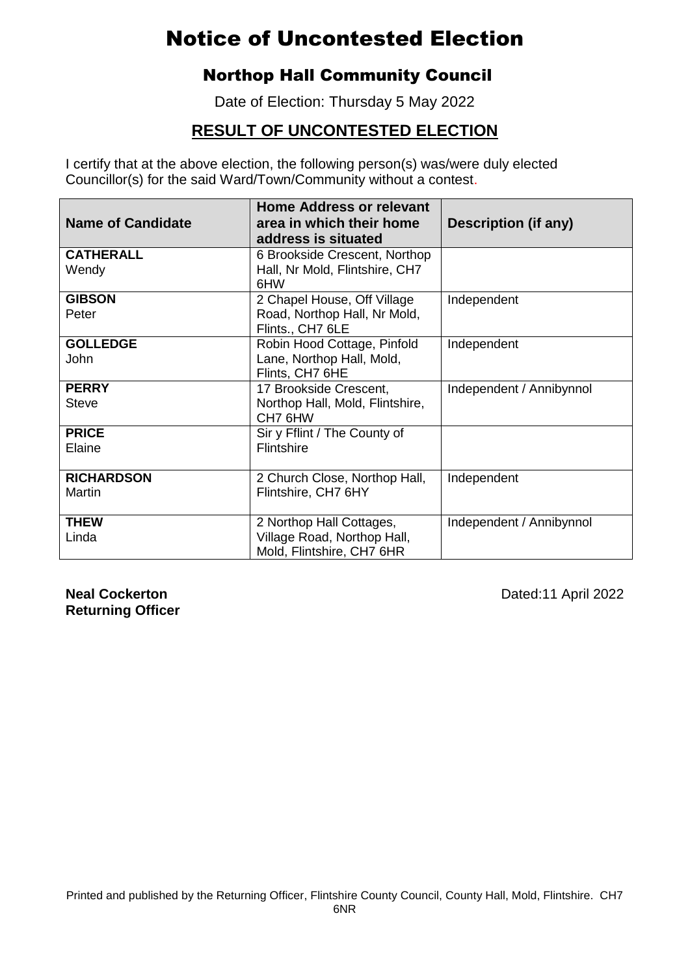### Northop Hall Community Council

Date of Election: Thursday 5 May 2022

### **RESULT OF UNCONTESTED ELECTION**

I certify that at the above election, the following person(s) was/were duly elected Councillor(s) for the said Ward/Town/Community without a contest.

| <b>Name of Candidate</b> | <b>Home Address or relevant</b><br>area in which their home<br>address is situated | <b>Description (if any)</b> |
|--------------------------|------------------------------------------------------------------------------------|-----------------------------|
| <b>CATHERALL</b>         | 6 Brookside Crescent, Northop                                                      |                             |
| Wendy                    | Hall, Nr Mold, Flintshire, CH7<br>6HW                                              |                             |
| <b>GIBSON</b>            | 2 Chapel House, Off Village                                                        | Independent                 |
| Peter                    | Road, Northop Hall, Nr Mold,<br>Flints., CH7 6LE                                   |                             |
| <b>GOLLEDGE</b>          | Robin Hood Cottage, Pinfold                                                        | Independent                 |
| John                     | Lane, Northop Hall, Mold,<br>Flints, CH7 6HE                                       |                             |
| <b>PERRY</b>             | 17 Brookside Crescent,                                                             | Independent / Annibynnol    |
| <b>Steve</b>             | Northop Hall, Mold, Flintshire,<br>CH7 6HW                                         |                             |
| <b>PRICE</b>             | Sir y Fflint / The County of                                                       |                             |
| Elaine                   | Flintshire                                                                         |                             |
| <b>RICHARDSON</b>        | 2 Church Close, Northop Hall,                                                      | Independent                 |
| <b>Martin</b>            | Flintshire, CH7 6HY                                                                |                             |
| <b>THEW</b>              | 2 Northop Hall Cottages,                                                           | Independent / Annibynnol    |
| Linda                    | Village Road, Northop Hall,<br>Mold, Flintshire, CH7 6HR                           |                             |

**Returning Officer**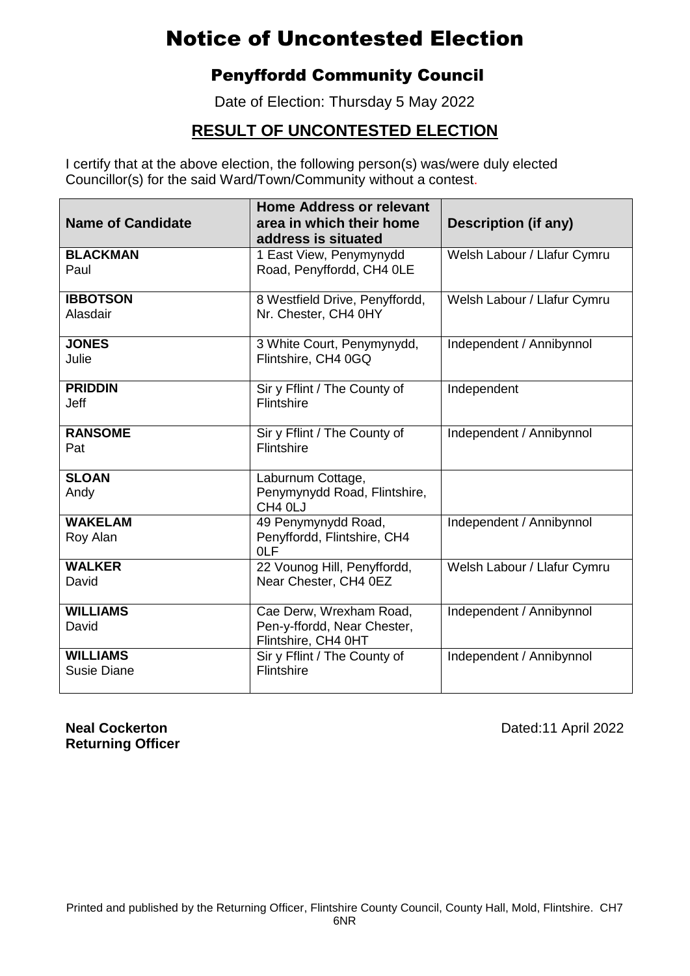### Penyffordd Community Council

Date of Election: Thursday 5 May 2022

### **RESULT OF UNCONTESTED ELECTION**

I certify that at the above election, the following person(s) was/were duly elected Councillor(s) for the said Ward/Town/Community without a contest.

| <b>Name of Candidate</b>       | <b>Home Address or relevant</b><br>area in which their home<br>address is situated | Description (if any)        |
|--------------------------------|------------------------------------------------------------------------------------|-----------------------------|
| <b>BLACKMAN</b><br>Paul        | 1 East View, Penymynydd<br>Road, Penyffordd, CH4 OLE                               | Welsh Labour / Llafur Cymru |
| <b>IBBOTSON</b><br>Alasdair    | 8 Westfield Drive, Penyffordd,<br>Nr. Chester, CH4 0HY                             | Welsh Labour / Llafur Cymru |
| <b>JONES</b><br>Julie          | 3 White Court, Penymynydd,<br>Flintshire, CH4 0GQ                                  | Independent / Annibynnol    |
| <b>PRIDDIN</b><br><b>Jeff</b>  | Sir y Fflint / The County of<br>Flintshire                                         | Independent                 |
| <b>RANSOME</b><br>Pat          | Sir y Fflint / The County of<br>Flintshire                                         | Independent / Annibynnol    |
| <b>SLOAN</b><br>Andy           | Laburnum Cottage,<br>Penymynydd Road, Flintshire,<br>CH <sub>4</sub> OLJ           |                             |
| <b>WAKELAM</b><br>Roy Alan     | 49 Penymynydd Road,<br>Penyffordd, Flintshire, CH4<br><b>OLF</b>                   | Independent / Annibynnol    |
| <b>WALKER</b><br>David         | 22 Vounog Hill, Penyffordd,<br>Near Chester, CH4 0EZ                               | Welsh Labour / Llafur Cymru |
| <b>WILLIAMS</b><br>David       | Cae Derw, Wrexham Road,<br>Pen-y-ffordd, Near Chester,<br>Flintshire, CH4 0HT      | Independent / Annibynnol    |
| <b>WILLIAMS</b><br>Susie Diane | Sir y Fflint / The County of<br>Flintshire                                         | Independent / Annibynnol    |

**Returning Officer**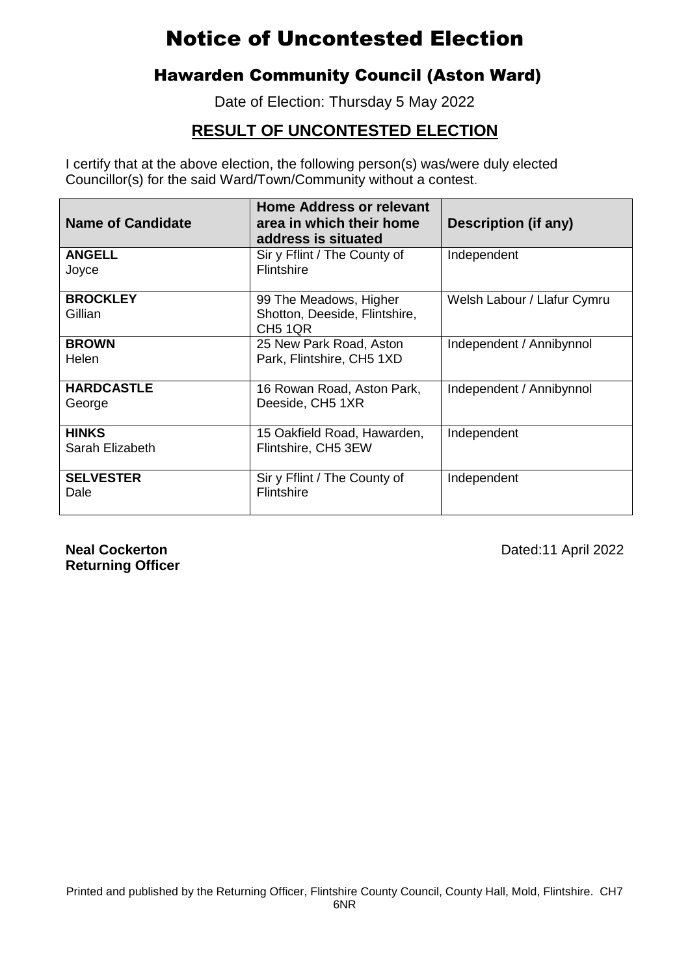### Hawarden Community Council (Aston Ward)

Date of Election: Thursday 5 May 2022

### **RESULT OF UNCONTESTED ELECTION**

I certify that at the above election, the following person(s) was/were duly elected Councillor(s) for the said Ward/Town/Community without a contest.

| <b>Name of Candidate</b>        | <b>Home Address or relevant</b><br>area in which their home<br>address is situated | Description (if any)        |
|---------------------------------|------------------------------------------------------------------------------------|-----------------------------|
| <b>ANGELL</b><br>Joyce          | Sir y Fflint / The County of<br>Flintshire                                         | Independent                 |
| <b>BROCKLEY</b><br>Gillian      | 99 The Meadows, Higher<br>Shotton, Deeside, Flintshire,<br>CH <sub>5</sub> 1QR     | Welsh Labour / Llafur Cymru |
| <b>BROWN</b><br>Helen           | 25 New Park Road, Aston<br>Park, Flintshire, CH5 1XD                               | Independent / Annibynnol    |
| <b>HARDCASTLE</b><br>George     | 16 Rowan Road, Aston Park,<br>Deeside, CH5 1XR                                     | Independent / Annibynnol    |
| <b>HINKS</b><br>Sarah Elizabeth | 15 Oakfield Road, Hawarden,<br>Flintshire, CH5 3EW                                 | Independent                 |
| <b>SELVESTER</b><br>Dale        | Sir y Fflint / The County of<br><b>Flintshire</b>                                  | Independent                 |

**Returning Officer**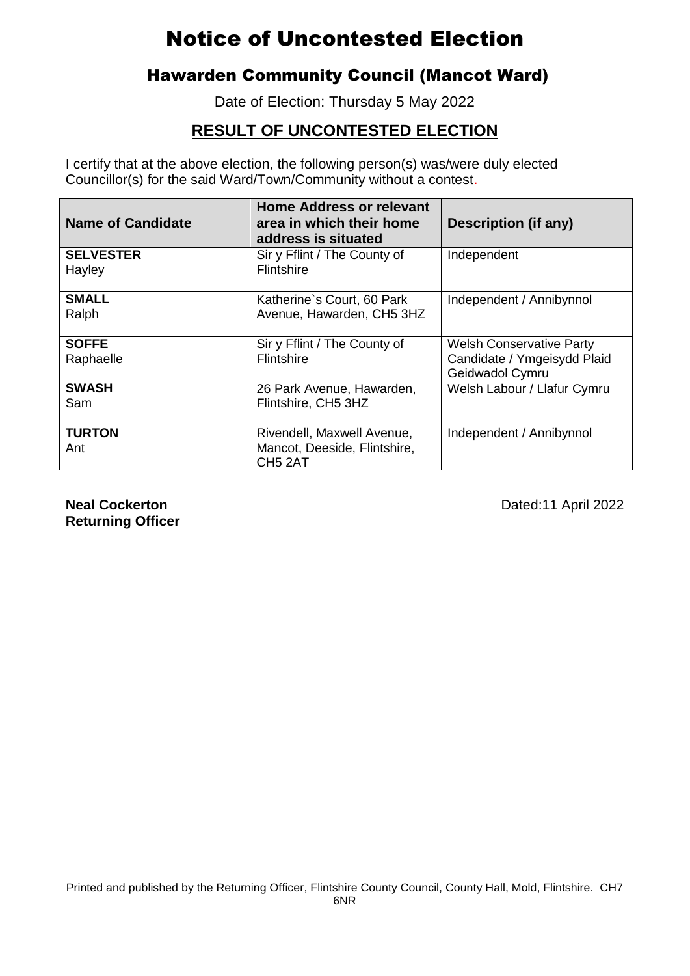### Hawarden Community Council (Mancot Ward)

Date of Election: Thursday 5 May 2022

### **RESULT OF UNCONTESTED ELECTION**

I certify that at the above election, the following person(s) was/were duly elected Councillor(s) for the said Ward/Town/Community without a contest.

| <b>Name of Candidate</b>   | <b>Home Address or relevant</b><br>area in which their home<br>address is situated | Description (if any)                           |
|----------------------------|------------------------------------------------------------------------------------|------------------------------------------------|
| <b>SELVESTER</b><br>Hayley | Sir y Fflint / The County of<br><b>Flintshire</b>                                  | Independent                                    |
|                            |                                                                                    |                                                |
| <b>SMALL</b><br>Ralph      | Katherine's Court, 60 Park<br>Avenue, Hawarden, CH5 3HZ                            | Independent / Annibynnol                       |
| <b>SOFFE</b>               | Sir y Fflint / The County of                                                       | <b>Welsh Conservative Party</b>                |
| Raphaelle                  | <b>Flintshire</b>                                                                  | Candidate / Ymgeisydd Plaid<br>Geidwadol Cymru |
| <b>SWASH</b><br>Sam        | 26 Park Avenue, Hawarden,<br>Flintshire, CH5 3HZ                                   | Welsh Labour / Llafur Cymru                    |
| <b>TURTON</b><br>Ant       | Rivendell, Maxwell Avenue,<br>Mancot, Deeside, Flintshire,<br>CH <sub>5</sub> 2AT  | Independent / Annibynnol                       |

**Returning Officer**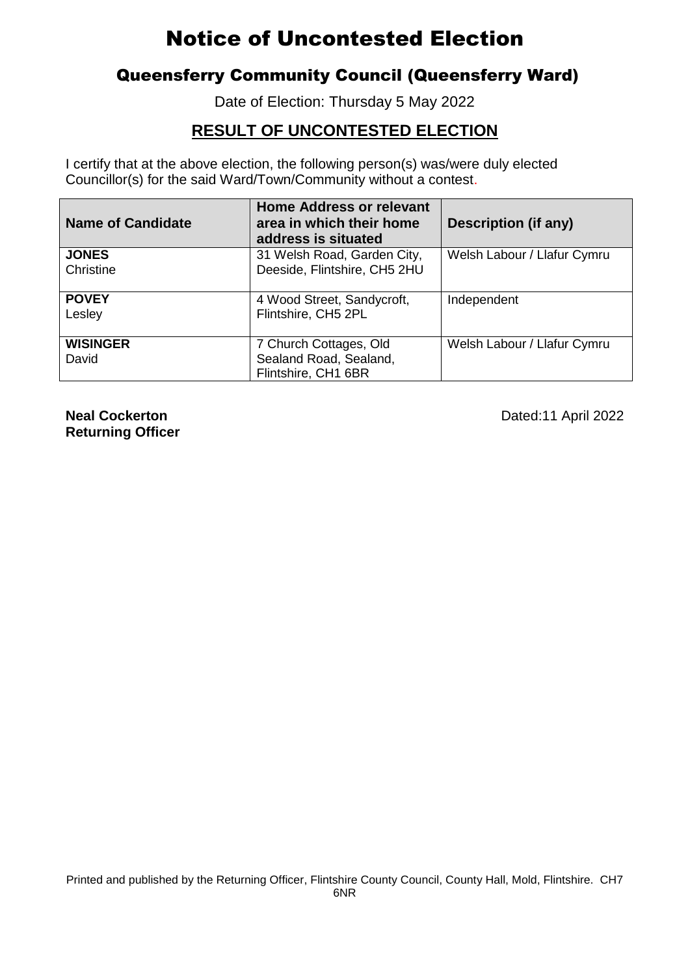### Queensferry Community Council (Queensferry Ward)

Date of Election: Thursday 5 May 2022

### **RESULT OF UNCONTESTED ELECTION**

I certify that at the above election, the following person(s) was/were duly elected Councillor(s) for the said Ward/Town/Community without a contest.

| <b>Name of Candidate</b> | <b>Home Address or relevant</b><br>area in which their home<br>address is situated | <b>Description (if any)</b> |
|--------------------------|------------------------------------------------------------------------------------|-----------------------------|
| <b>JONES</b>             | 31 Welsh Road, Garden City,                                                        | Welsh Labour / Llafur Cymru |
| Christine                | Deeside, Flintshire, CH5 2HU                                                       |                             |
| <b>POVEY</b>             | 4 Wood Street, Sandycroft,                                                         | Independent                 |
| Lesley                   | Flintshire, CH5 2PL                                                                |                             |
| <b>WISINGER</b>          | 7 Church Cottages, Old                                                             | Welsh Labour / Llafur Cymru |
| David                    | Sealand Road, Sealand,                                                             |                             |
|                          | Flintshire, CH1 6BR                                                                |                             |

**Returning Officer**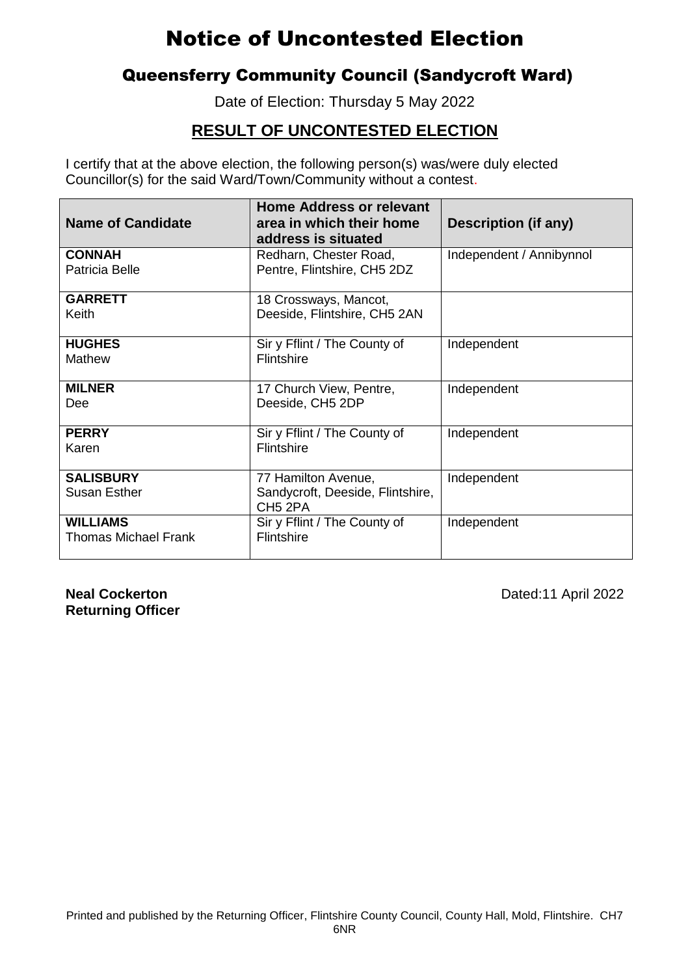### Queensferry Community Council (Sandycroft Ward)

Date of Election: Thursday 5 May 2022

### **RESULT OF UNCONTESTED ELECTION**

I certify that at the above election, the following person(s) was/were duly elected Councillor(s) for the said Ward/Town/Community without a contest.

| <b>Name of Candidate</b>                       | <b>Home Address or relevant</b><br>area in which their home<br>address is situated | Description (if any)     |
|------------------------------------------------|------------------------------------------------------------------------------------|--------------------------|
| <b>CONNAH</b><br>Patricia Belle                | Redharn, Chester Road,<br>Pentre, Flintshire, CH5 2DZ                              | Independent / Annibynnol |
| <b>GARRETT</b><br>Keith                        | 18 Crossways, Mancot,<br>Deeside, Flintshire, CH5 2AN                              |                          |
| <b>HUGHES</b><br><b>Mathew</b>                 | Sir y Fflint / The County of<br>Flintshire                                         | Independent              |
| <b>MILNER</b><br>Dee                           | 17 Church View, Pentre,<br>Deeside, CH5 2DP                                        | Independent              |
| <b>PERRY</b><br>Karen                          | Sir y Fflint / The County of<br>Flintshire                                         | Independent              |
| <b>SALISBURY</b><br><b>Susan Esther</b>        | 77 Hamilton Avenue,<br>Sandycroft, Deeside, Flintshire,<br>CH <sub>5</sub> 2PA     | Independent              |
| <b>WILLIAMS</b><br><b>Thomas Michael Frank</b> | Sir y Fflint / The County of<br>Flintshire                                         | Independent              |

**Returning Officer**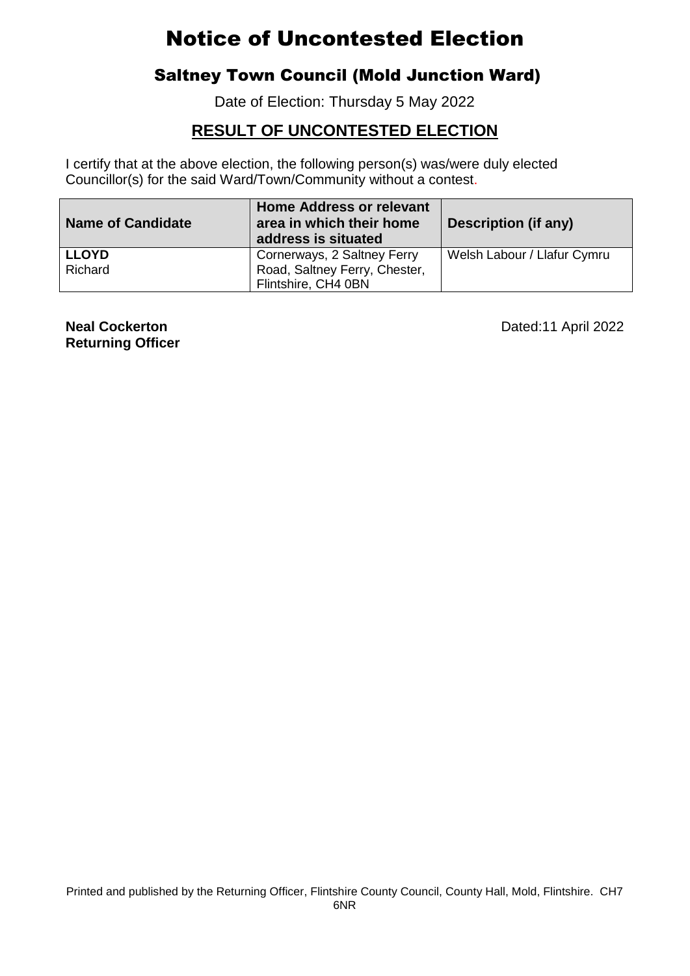### Saltney Town Council (Mold Junction Ward)

Date of Election: Thursday 5 May 2022

#### **RESULT OF UNCONTESTED ELECTION**

I certify that at the above election, the following person(s) was/were duly elected Councillor(s) for the said Ward/Town/Community without a contest.

| <b>Name of Candidate</b> | Home Address or relevant<br>area in which their home<br>address is situated | Description (if any)        |
|--------------------------|-----------------------------------------------------------------------------|-----------------------------|
| <b>LLOYD</b>             | Cornerways, 2 Saltney Ferry                                                 | Welsh Labour / Llafur Cymru |
| Richard                  | Road, Saltney Ferry, Chester,                                               |                             |
|                          | Flintshire, CH4 0BN                                                         |                             |

**Returning Officer**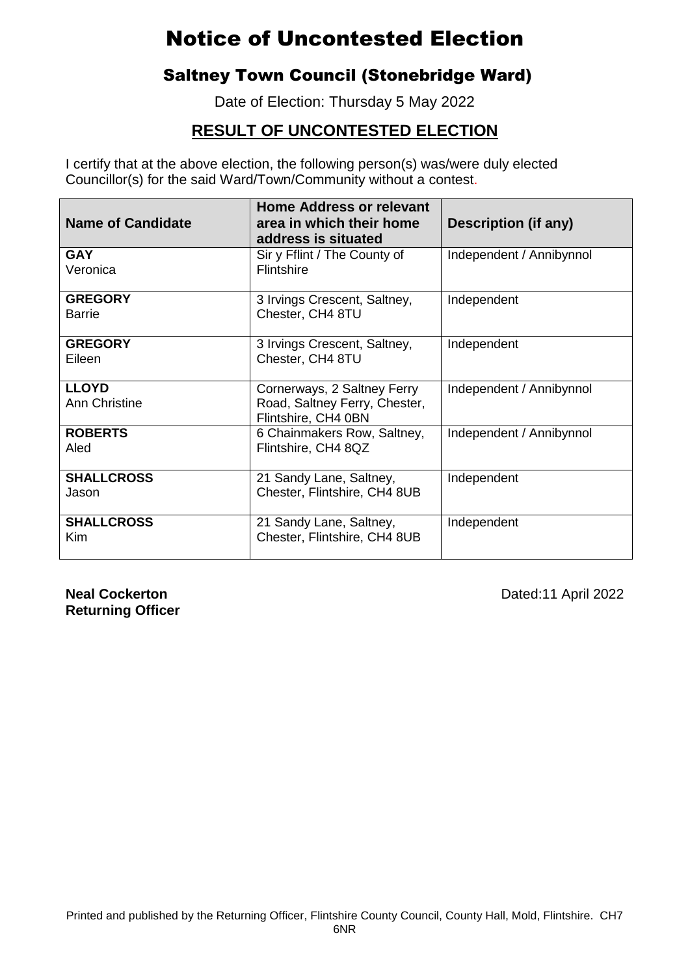### Saltney Town Council (Stonebridge Ward)

Date of Election: Thursday 5 May 2022

### **RESULT OF UNCONTESTED ELECTION**

I certify that at the above election, the following person(s) was/were duly elected Councillor(s) for the said Ward/Town/Community without a contest.

| <b>Name of Candidate</b>             | <b>Home Address or relevant</b><br>area in which their home<br>address is situated  | Description (if any)     |
|--------------------------------------|-------------------------------------------------------------------------------------|--------------------------|
| <b>GAY</b><br>Veronica               | Sir y Fflint / The County of<br><b>Flintshire</b>                                   | Independent / Annibynnol |
| <b>GREGORY</b><br><b>Barrie</b>      | 3 Irvings Crescent, Saltney,<br>Chester, CH4 8TU                                    | Independent              |
| <b>GREGORY</b><br>Eileen             | 3 Irvings Crescent, Saltney,<br>Chester, CH4 8TU                                    | Independent              |
| <b>LLOYD</b><br><b>Ann Christine</b> | Cornerways, 2 Saltney Ferry<br>Road, Saltney Ferry, Chester,<br>Flintshire, CH4 0BN | Independent / Annibynnol |
| <b>ROBERTS</b><br>Aled               | 6 Chainmakers Row, Saltney,<br>Flintshire, CH4 8QZ                                  | Independent / Annibynnol |
| <b>SHALLCROSS</b><br>Jason           | 21 Sandy Lane, Saltney,<br>Chester, Flintshire, CH4 8UB                             | Independent              |
| <b>SHALLCROSS</b><br><b>Kim</b>      | 21 Sandy Lane, Saltney,<br>Chester, Flintshire, CH4 8UB                             | Independent              |

**Returning Officer**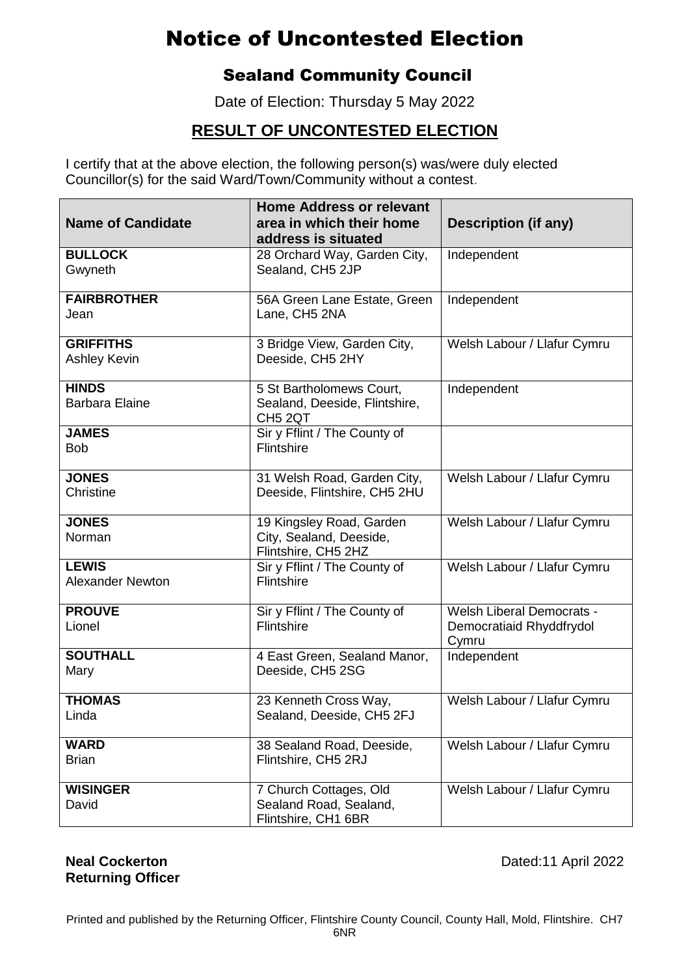### Sealand Community Council

Date of Election: Thursday 5 May 2022

### **RESULT OF UNCONTESTED ELECTION**

I certify that at the above election, the following person(s) was/were duly elected Councillor(s) for the said Ward/Town/Community without a contest.

| <b>Name of Candidate</b>                | <b>Home Address or relevant</b><br>area in which their home                      | <b>Description (if any)</b>                                           |
|-----------------------------------------|----------------------------------------------------------------------------------|-----------------------------------------------------------------------|
|                                         | address is situated                                                              |                                                                       |
| <b>BULLOCK</b><br>Gwyneth               | 28 Orchard Way, Garden City,<br>Sealand, CH5 2JP                                 | Independent                                                           |
| <b>FAIRBROTHER</b><br>Jean              | 56A Green Lane Estate, Green<br>Lane, CH5 2NA                                    | Independent                                                           |
| <b>GRIFFITHS</b><br><b>Ashley Kevin</b> | 3 Bridge View, Garden City,<br>Deeside, CH5 2HY                                  | Welsh Labour / Llafur Cymru                                           |
| <b>HINDS</b><br><b>Barbara Elaine</b>   | 5 St Bartholomews Court,<br>Sealand, Deeside, Flintshire,<br>CH <sub>5</sub> 2QT | Independent                                                           |
| <b>JAMES</b><br><b>Bob</b>              | Sir y Fflint / The County of<br>Flintshire                                       |                                                                       |
| <b>JONES</b><br>Christine               | 31 Welsh Road, Garden City,<br>Deeside, Flintshire, CH5 2HU                      | Welsh Labour / Llafur Cymru                                           |
| <b>JONES</b><br>Norman                  | 19 Kingsley Road, Garden<br>City, Sealand, Deeside,<br>Flintshire, CH5 2HZ       | Welsh Labour / Llafur Cymru                                           |
| <b>LEWIS</b><br><b>Alexander Newton</b> | Sir y Fflint / The County of<br>Flintshire                                       | Welsh Labour / Llafur Cymru                                           |
| <b>PROUVE</b><br>Lionel                 | Sir y Fflint / The County of<br>Flintshire                                       | <b>Welsh Liberal Democrats -</b><br>Democratiaid Rhyddfrydol<br>Cymru |
| <b>SOUTHALL</b><br>Mary                 | 4 East Green, Sealand Manor,<br>Deeside, CH5 2SG                                 | Independent                                                           |
| <b>THOMAS</b><br>Linda                  | 23 Kenneth Cross Way,<br>Sealand, Deeside, CH5 2FJ                               | Welsh Labour / Llafur Cymru                                           |
| <b>WARD</b><br><b>Brian</b>             | 38 Sealand Road, Deeside,<br>Flintshire, CH5 2RJ                                 | Welsh Labour / Llafur Cymru                                           |
| <b>WISINGER</b><br>David                | 7 Church Cottages, Old<br>Sealand Road, Sealand,<br>Flintshire, CH1 6BR          | Welsh Labour / Llafur Cymru                                           |

**Returning Officer**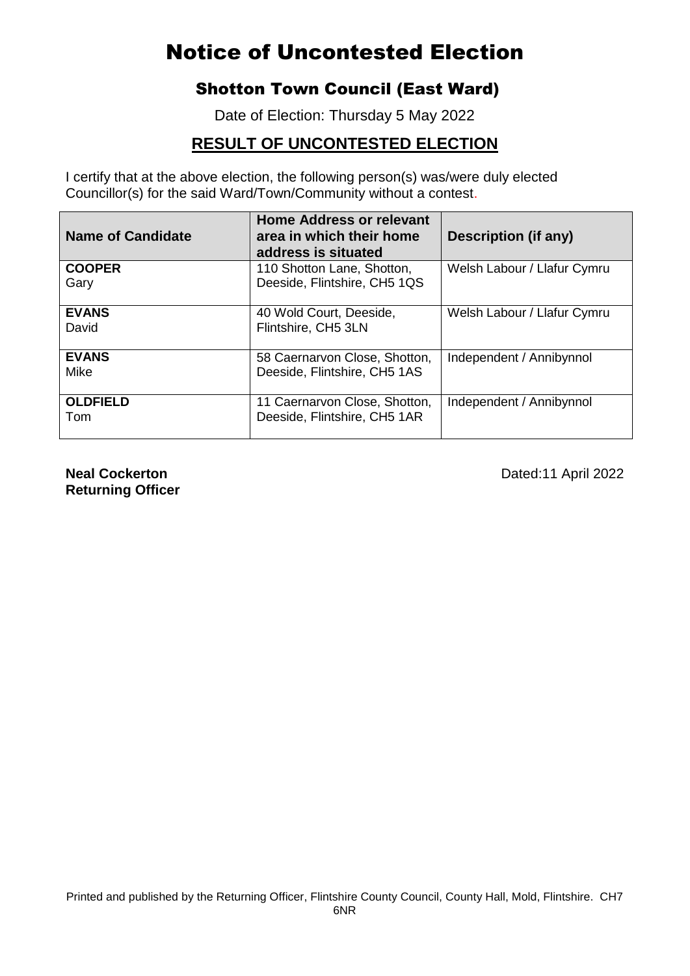### Shotton Town Council (East Ward)

Date of Election: Thursday 5 May 2022

#### **RESULT OF UNCONTESTED ELECTION**

I certify that at the above election, the following person(s) was/were duly elected Councillor(s) for the said Ward/Town/Community without a contest.

| <b>Name of Candidate</b> | <b>Home Address or relevant</b><br>area in which their home<br>address is situated | <b>Description (if any)</b> |
|--------------------------|------------------------------------------------------------------------------------|-----------------------------|
| <b>COOPER</b><br>Gary    | 110 Shotton Lane, Shotton,<br>Deeside, Flintshire, CH5 1QS                         | Welsh Labour / Llafur Cymru |
| <b>EVANS</b><br>David    | 40 Wold Court, Deeside,<br>Flintshire, CH5 3LN                                     | Welsh Labour / Llafur Cymru |
| <b>EVANS</b><br>Mike     | 58 Caernarvon Close, Shotton,<br>Deeside, Flintshire, CH5 1AS                      | Independent / Annibynnol    |
| <b>OLDFIELD</b><br>Tom   | 11 Caernarvon Close, Shotton,<br>Deeside, Flintshire, CH5 1AR                      | Independent / Annibynnol    |

**Returning Officer**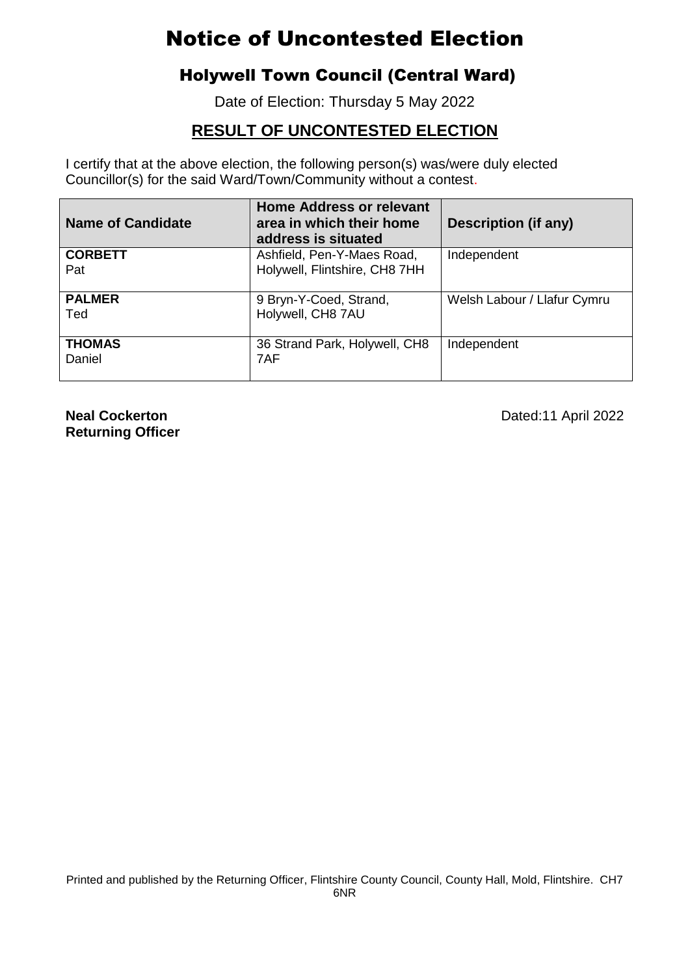## Holywell Town Council (Central Ward)

Date of Election: Thursday 5 May 2022

### **RESULT OF UNCONTESTED ELECTION**

I certify that at the above election, the following person(s) was/were duly elected Councillor(s) for the said Ward/Town/Community without a contest.

| <b>Name of Candidate</b> | <b>Home Address or relevant</b><br>area in which their home<br>address is situated | Description (if any)        |
|--------------------------|------------------------------------------------------------------------------------|-----------------------------|
| <b>CORBETT</b>           | Ashfield, Pen-Y-Maes Road,                                                         | Independent                 |
| Pat                      | Holywell, Flintshire, CH8 7HH                                                      |                             |
| <b>PALMER</b>            | 9 Bryn-Y-Coed, Strand,                                                             | Welsh Labour / Llafur Cymru |
| Ted                      | Holywell, CH8 7AU                                                                  |                             |
| <b>THOMAS</b>            | 36 Strand Park, Holywell, CH8                                                      | Independent                 |
| Daniel                   | 7AF                                                                                |                             |

**Returning Officer**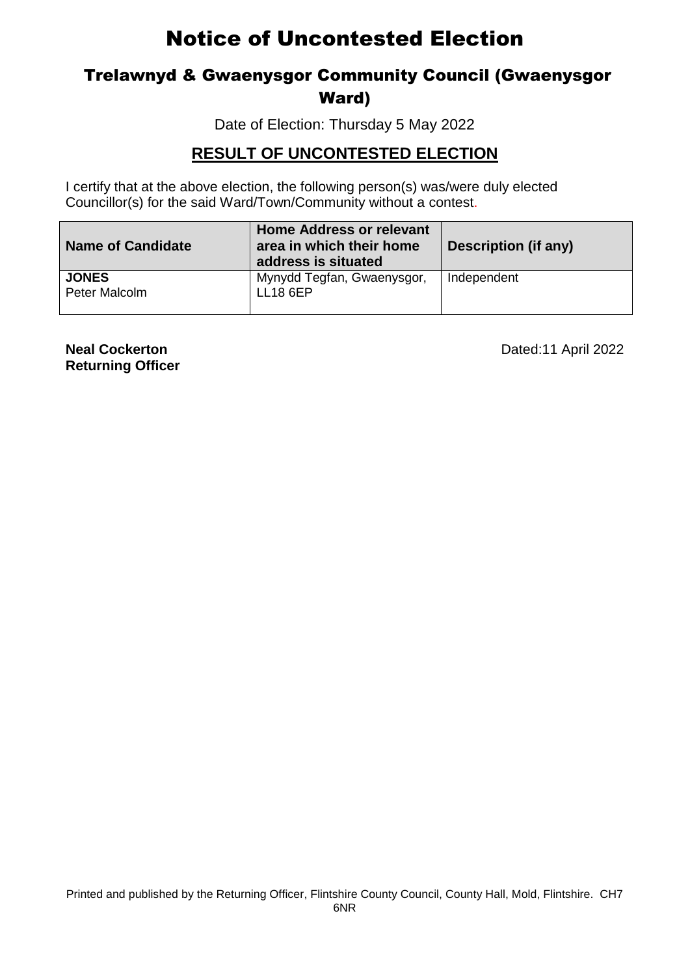### Trelawnyd & Gwaenysgor Community Council (Gwaenysgor Ward)

Date of Election: Thursday 5 May 2022

#### **RESULT OF UNCONTESTED ELECTION**

 Councillor(s) for the said Ward/Town/Community without a contest. I certify that at the above election, the following person(s) was/were duly elected

| <b>Name of Candidate</b>      | <b>Home Address or relevant</b><br>area in which their home<br>address is situated | <b>Description (if any)</b> |
|-------------------------------|------------------------------------------------------------------------------------|-----------------------------|
| <b>JONES</b><br>Peter Malcolm | Mynydd Tegfan, Gwaenysgor,<br><b>LL18 6EP</b>                                      | Independent                 |

**Returning Officer**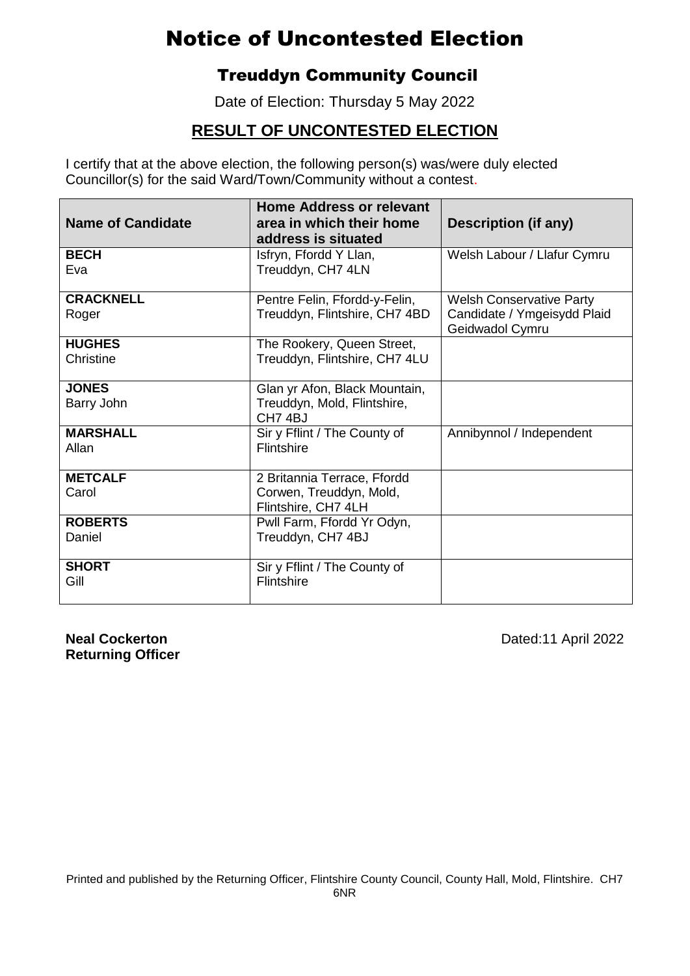### Treuddyn Community Council

Date of Election: Thursday 5 May 2022

### **RESULT OF UNCONTESTED ELECTION**

I certify that at the above election, the following person(s) was/were duly elected Councillor(s) for the said Ward/Town/Community without a contest.

| <b>Name of Candidate</b> | <b>Home Address or relevant</b><br>area in which their home<br>address is situated | Description (if any)                           |
|--------------------------|------------------------------------------------------------------------------------|------------------------------------------------|
| <b>BECH</b><br>Eva       | Isfryn, Ffordd Y Llan,<br>Treuddyn, CH7 4LN                                        | Welsh Labour / Llafur Cymru                    |
|                          |                                                                                    |                                                |
| <b>CRACKNELL</b>         | Pentre Felin, Ffordd-y-Felin,                                                      | <b>Welsh Conservative Party</b>                |
| Roger                    | Treuddyn, Flintshire, CH7 4BD                                                      | Candidate / Ymgeisydd Plaid<br>Geidwadol Cymru |
| <b>HUGHES</b>            | The Rookery, Queen Street,                                                         |                                                |
| Christine                | Treuddyn, Flintshire, CH7 4LU                                                      |                                                |
| <b>JONES</b>             | Glan yr Afon, Black Mountain,                                                      |                                                |
| Barry John               | Treuddyn, Mold, Flintshire,<br>CH74BJ                                              |                                                |
| <b>MARSHALL</b>          | Sir y Fflint / The County of                                                       | Annibynnol / Independent                       |
| Allan                    | Flintshire                                                                         |                                                |
| <b>METCALF</b>           | 2 Britannia Terrace, Ffordd                                                        |                                                |
| Carol                    | Corwen, Treuddyn, Mold,<br>Flintshire, CH7 4LH                                     |                                                |
| <b>ROBERTS</b>           | Pwll Farm, Ffordd Yr Odyn,                                                         |                                                |
| Daniel                   | Treuddyn, CH7 4BJ                                                                  |                                                |
| <b>SHORT</b>             | Sir y Fflint / The County of                                                       |                                                |
| Gill                     | Flintshire                                                                         |                                                |

**Returning Officer**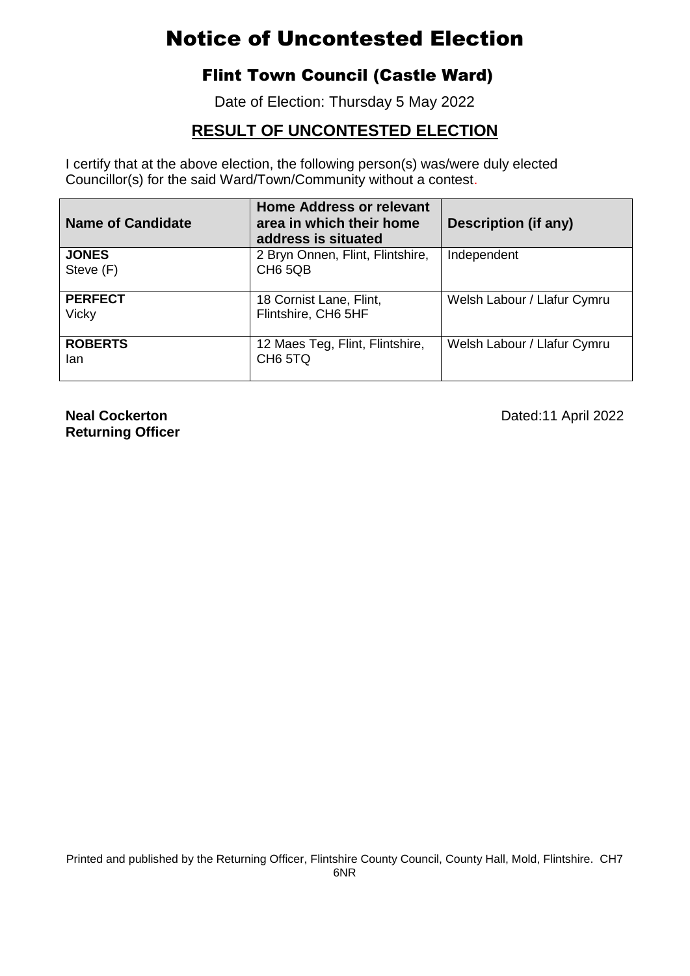## Flint Town Council (Castle Ward)

Date of Election: Thursday 5 May 2022

### **RESULT OF UNCONTESTED ELECTION**

I certify that at the above election, the following person(s) was/were duly elected Councillor(s) for the said Ward/Town/Community without a contest.

| <b>Name of Candidate</b>       | <b>Home Address or relevant</b><br>area in which their home<br>address is situated | Description (if any)        |
|--------------------------------|------------------------------------------------------------------------------------|-----------------------------|
| <b>JONES</b><br>Steve (F)      | 2 Bryn Onnen, Flint, Flintshire,<br>CH <sub>6</sub> 5QB                            | Independent                 |
| <b>PERFECT</b><br><b>Vicky</b> | 18 Cornist Lane, Flint,<br>Flintshire, CH6 5HF                                     | Welsh Labour / Llafur Cymru |
| <b>ROBERTS</b><br>lan          | 12 Maes Teg, Flint, Flintshire,<br>CH <sub>6</sub> 5TQ                             | Welsh Labour / Llafur Cymru |

**Returning Officer**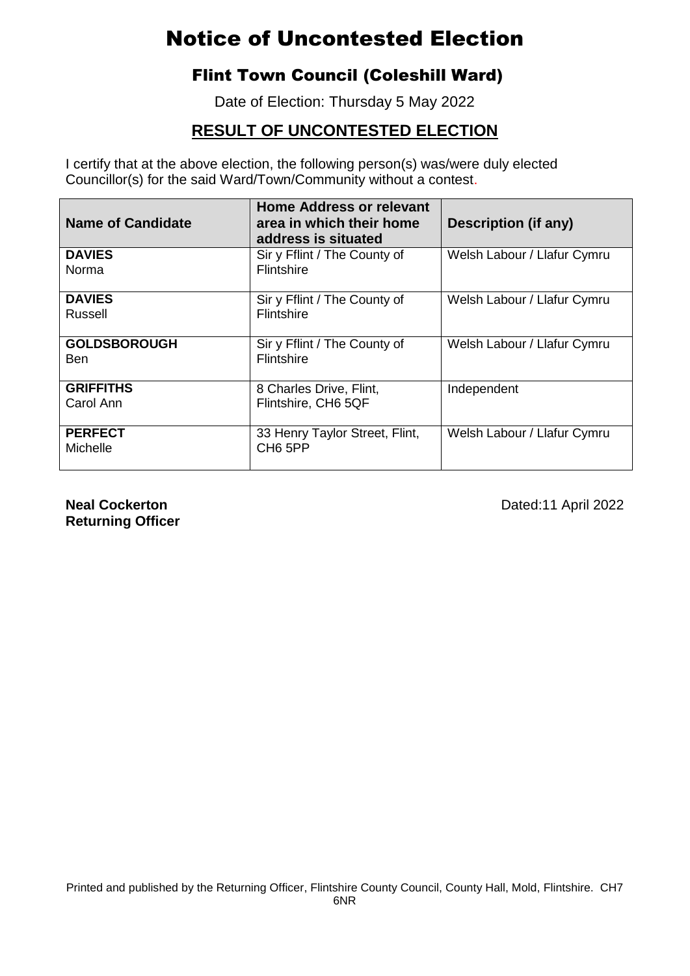### Flint Town Council (Coleshill Ward)

Date of Election: Thursday 5 May 2022

### **RESULT OF UNCONTESTED ELECTION**

I certify that at the above election, the following person(s) was/were duly elected Councillor(s) for the said Ward/Town/Community without a contest.

| <b>Name of Candidate</b> | <b>Home Address or relevant</b><br>area in which their home<br>address is situated | <b>Description (if any)</b> |
|--------------------------|------------------------------------------------------------------------------------|-----------------------------|
| <b>DAVIES</b>            | Sir y Fflint / The County of                                                       | Welsh Labour / Llafur Cymru |
| Norma                    | <b>Flintshire</b>                                                                  |                             |
| <b>DAVIES</b>            | Sir y Fflint / The County of                                                       | Welsh Labour / Llafur Cymru |
| Russell                  | Flintshire                                                                         |                             |
| <b>GOLDSBOROUGH</b>      | Sir y Fflint / The County of                                                       | Welsh Labour / Llafur Cymru |
| Ben                      | <b>Flintshire</b>                                                                  |                             |
| <b>GRIFFITHS</b>         | 8 Charles Drive, Flint,                                                            | Independent                 |
| Carol Ann                | Flintshire, CH6 5QF                                                                |                             |
| <b>PERFECT</b>           | 33 Henry Taylor Street, Flint,                                                     | Welsh Labour / Llafur Cymru |
| Michelle                 | CH <sub>6</sub> 5PP                                                                |                             |

**Returning Officer**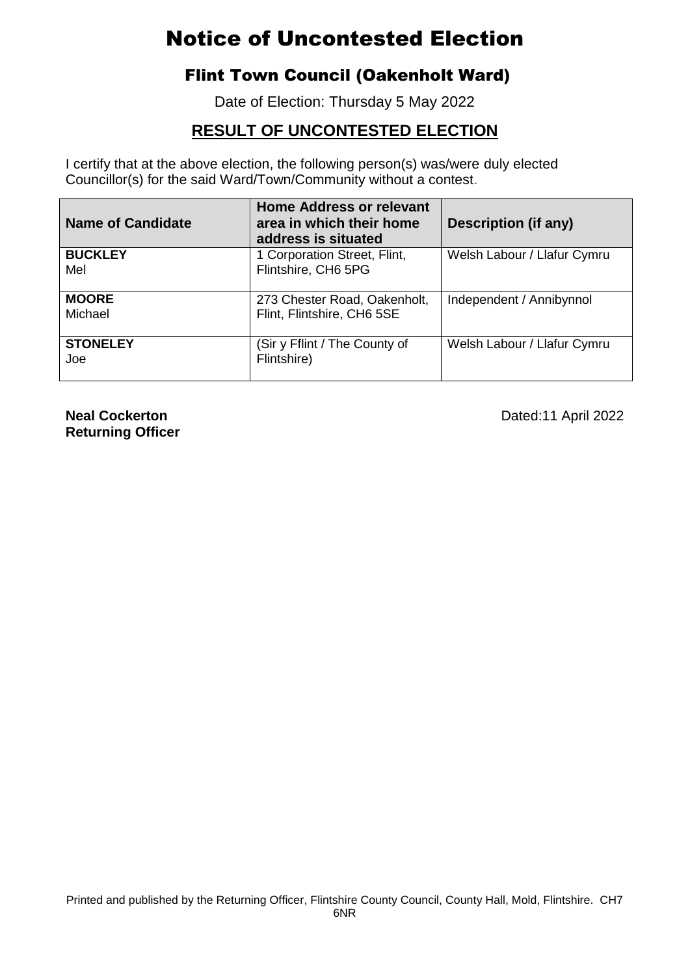## Flint Town Council (Oakenholt Ward)

Date of Election: Thursday 5 May 2022

### **RESULT OF UNCONTESTED ELECTION**

I certify that at the above election, the following person(s) was/were duly elected Councillor(s) for the said Ward/Town/Community without a contest.

| <b>Name of Candidate</b> | <b>Home Address or relevant</b><br>area in which their home<br>address is situated | Description (if any)        |
|--------------------------|------------------------------------------------------------------------------------|-----------------------------|
| <b>BUCKLEY</b>           | 1 Corporation Street, Flint,                                                       | Welsh Labour / Llafur Cymru |
| Mel                      | Flintshire, CH6 5PG                                                                |                             |
| <b>MOORE</b>             | 273 Chester Road, Oakenholt,                                                       | Independent / Annibynnol    |
| Michael                  | Flint, Flintshire, CH6 5SE                                                         |                             |
| <b>STONELEY</b>          | (Sir y Fflint / The County of                                                      | Welsh Labour / Llafur Cymru |
| Joe                      | Flintshire)                                                                        |                             |

**Returning Officer**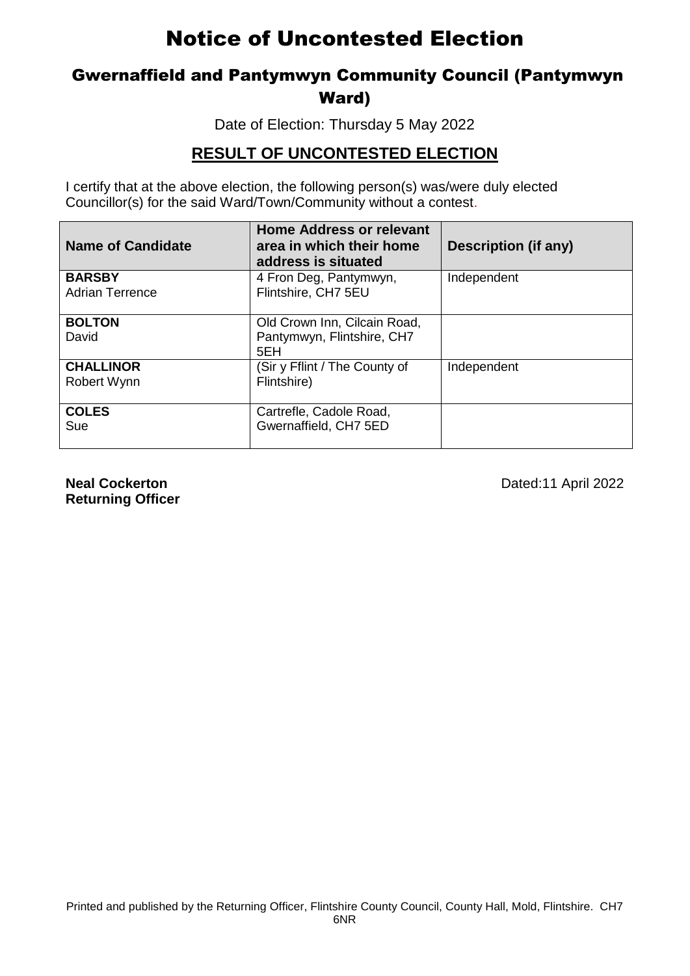### Gwernaffield and Pantymwyn Community Council (Pantymwyn Ward)

Date of Election: Thursday 5 May 2022

#### **RESULT OF UNCONTESTED ELECTION**

I certify that at the above election, the following person(s) was/were duly elected Councillor(s) for the said Ward/Town/Community without a contest.

| <b>Name of Candidate</b>                | <b>Home Address or relevant</b><br>area in which their home<br>address is situated | Description (if any) |
|-----------------------------------------|------------------------------------------------------------------------------------|----------------------|
| <b>BARSBY</b><br><b>Adrian Terrence</b> | 4 Fron Deg, Pantymwyn,<br>Flintshire, CH7 5EU                                      | Independent          |
| <b>BOLTON</b><br>David                  | Old Crown Inn, Cilcain Road,<br>Pantymwyn, Flintshire, CH7<br>5EH                  |                      |
| <b>CHALLINOR</b><br>Robert Wynn         | (Sir y Fflint / The County of<br>Flintshire)                                       | Independent          |
| <b>COLES</b><br>Sue                     | Cartrefle, Cadole Road,<br>Gwernaffield, CH7 5ED                                   |                      |

**Returning Officer**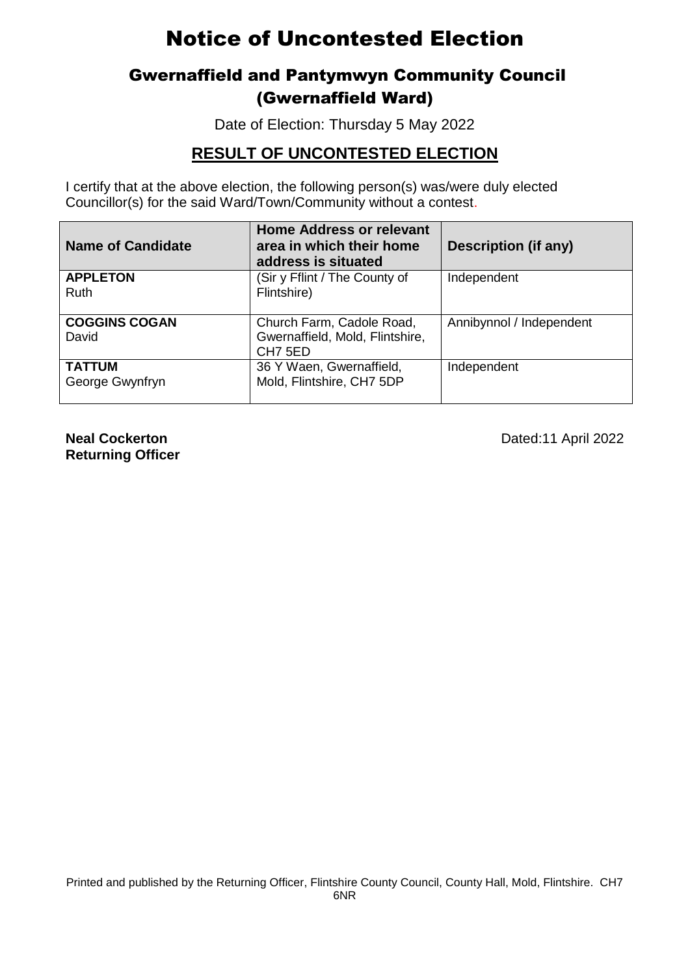## Gwernaffield and Pantymwyn Community Council (Gwernaffield Ward)

Date of Election: Thursday 5 May 2022

#### **RESULT OF UNCONTESTED ELECTION**

I certify that at the above election, the following person(s) was/were duly elected Councillor(s) for the said Ward/Town/Community without a contest.

| <b>Name of Candidate</b>         | <b>Home Address or relevant</b><br>area in which their home<br>address is situated  | <b>Description (if any)</b> |
|----------------------------------|-------------------------------------------------------------------------------------|-----------------------------|
| <b>APPLETON</b><br>Ruth          | (Sir y Fflint / The County of<br>Flintshire)                                        | Independent                 |
| <b>COGGINS COGAN</b><br>David    | Church Farm, Cadole Road,<br>Gwernaffield, Mold, Flintshire,<br>CH <sub>7</sub> 5ED | Annibynnol / Independent    |
| <b>TATTUM</b><br>George Gwynfryn | 36 Y Waen, Gwernaffield,<br>Mold, Flintshire, CH7 5DP                               | Independent                 |

**Returning Officer**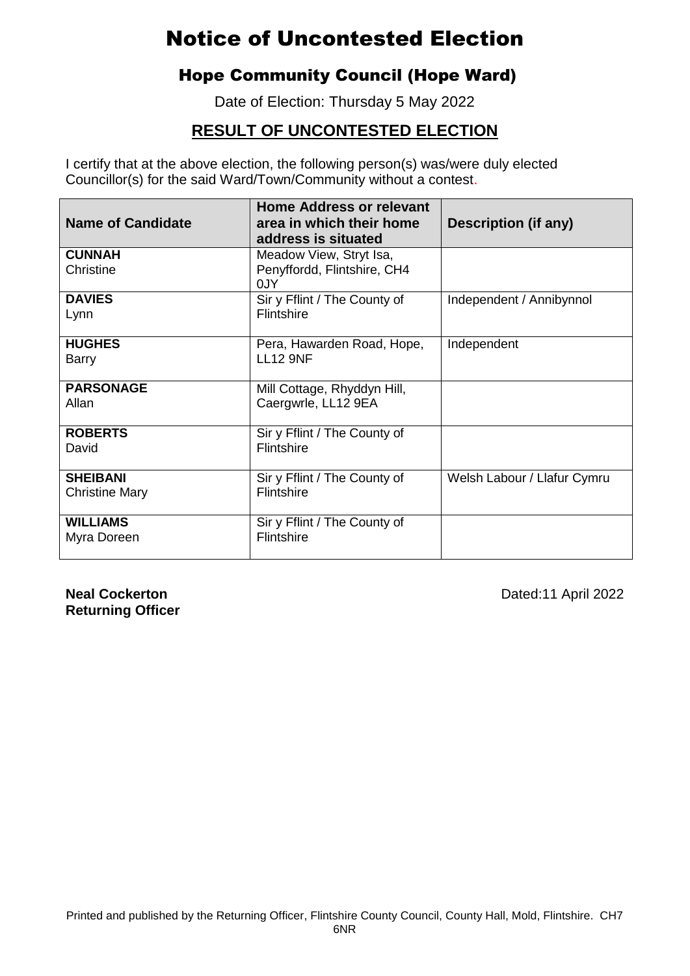## Hope Community Council (Hope Ward)

Date of Election: Thursday 5 May 2022

### **RESULT OF UNCONTESTED ELECTION**

I certify that at the above election, the following person(s) was/were duly elected Councillor(s) for the said Ward/Town/Community without a contest.

| <b>Name of Candidate</b> | <b>Home Address or relevant</b><br>area in which their home<br>address is situated | Description (if any)        |
|--------------------------|------------------------------------------------------------------------------------|-----------------------------|
| <b>CUNNAH</b>            | Meadow View, Stryt Isa,                                                            |                             |
| Christine                | Penyffordd, Flintshire, CH4<br>0JY                                                 |                             |
| <b>DAVIES</b>            | Sir y Fflint / The County of                                                       | Independent / Annibynnol    |
| Lynn                     | <b>Flintshire</b>                                                                  |                             |
| <b>HUGHES</b>            | Pera, Hawarden Road, Hope,                                                         | Independent                 |
| Barry                    | <b>LL12 9NF</b>                                                                    |                             |
| <b>PARSONAGE</b>         | Mill Cottage, Rhyddyn Hill,                                                        |                             |
| Allan                    | Caergwrle, LL12 9EA                                                                |                             |
| <b>ROBERTS</b>           | Sir y Fflint / The County of                                                       |                             |
| David                    | Flintshire                                                                         |                             |
| <b>SHEIBANI</b>          | Sir y Fflint / The County of                                                       | Welsh Labour / Llafur Cymru |
| <b>Christine Mary</b>    | Flintshire                                                                         |                             |
| <b>WILLIAMS</b>          | Sir y Fflint / The County of                                                       |                             |
| Myra Doreen              | Flintshire                                                                         |                             |

**Returning Officer**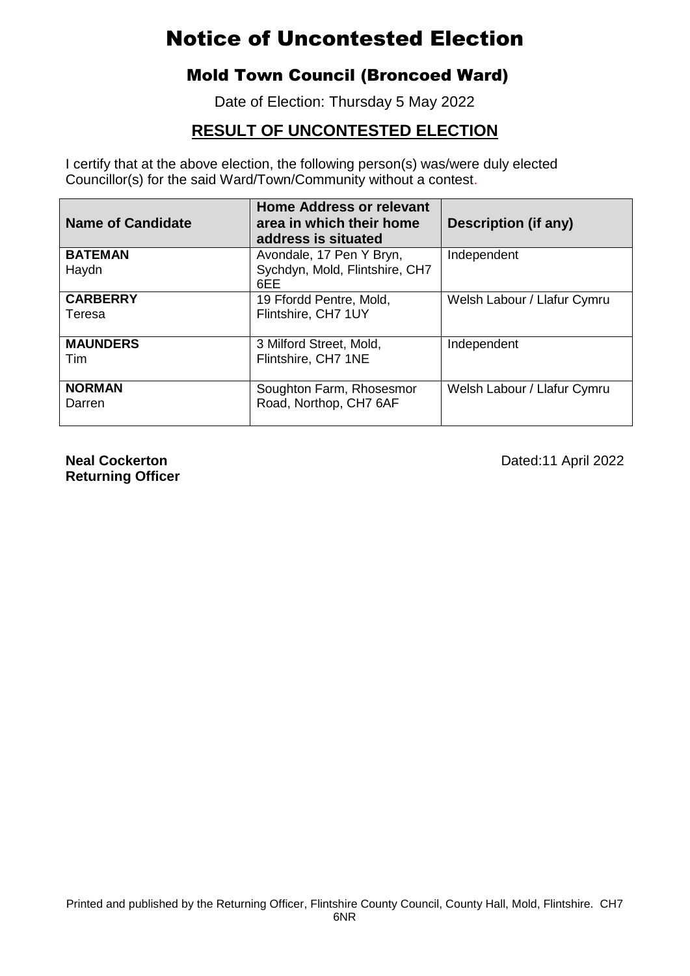### Mold Town Council (Broncoed Ward)

Date of Election: Thursday 5 May 2022

### **RESULT OF UNCONTESTED ELECTION**

I certify that at the above election, the following person(s) was/were duly elected Councillor(s) for the said Ward/Town/Community without a contest.

| <b>Name of Candidate</b>  | <b>Home Address or relevant</b><br>area in which their home<br>address is situated | Description (if any)        |
|---------------------------|------------------------------------------------------------------------------------|-----------------------------|
| <b>BATEMAN</b><br>Haydn   | Avondale, 17 Pen Y Bryn,<br>Sychdyn, Mold, Flintshire, CH7<br>6EE                  | Independent                 |
| <b>CARBERRY</b><br>Teresa | 19 Ffordd Pentre, Mold,<br>Flintshire, CH7 1UY                                     | Welsh Labour / Llafur Cymru |
| <b>MAUNDERS</b><br>Tim    | 3 Milford Street, Mold,<br>Flintshire, CH7 1NE                                     | Independent                 |
| <b>NORMAN</b><br>Darren   | Soughton Farm, Rhosesmor<br>Road, Northop, CH7 6AF                                 | Welsh Labour / Llafur Cymru |

**Returning Officer**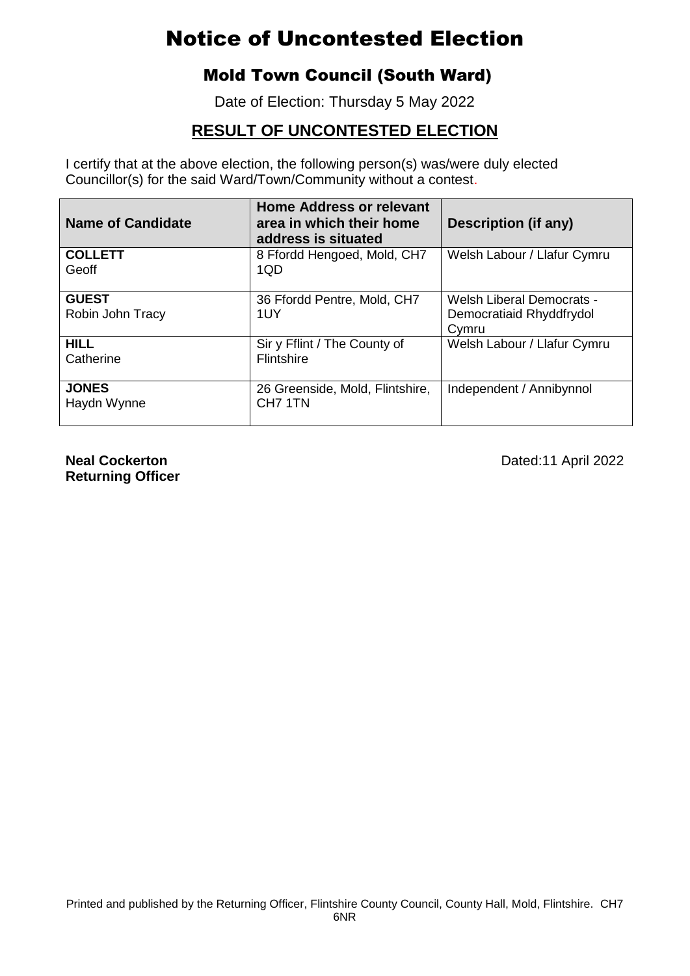### Mold Town Council (South Ward)

Date of Election: Thursday 5 May 2022

### **RESULT OF UNCONTESTED ELECTION**

I certify that at the above election, the following person(s) was/were duly elected Councillor(s) for the said Ward/Town/Community without a contest.

| <b>Name of Candidate</b>         | <b>Home Address or relevant</b><br>area in which their home<br>address is situated | Description (if any)                                           |
|----------------------------------|------------------------------------------------------------------------------------|----------------------------------------------------------------|
| <b>COLLETT</b><br>Geoff          | 8 Ffordd Hengoed, Mold, CH7<br>1QD                                                 | Welsh Labour / Llafur Cymru                                    |
| <b>GUEST</b><br>Robin John Tracy | 36 Ffordd Pentre, Mold, CH7<br>1UY                                                 | Welsh Liberal Democrats -<br>Democratiaid Rhyddfrydol<br>Cymru |
| <b>HILL</b><br>Catherine         | Sir y Fflint / The County of<br><b>Flintshire</b>                                  | Welsh Labour / Llafur Cymru                                    |
| <b>JONES</b><br>Haydn Wynne      | 26 Greenside, Mold, Flintshire,<br>CH <sub>7</sub> 1TN                             | Independent / Annibynnol                                       |

**Returning Officer**